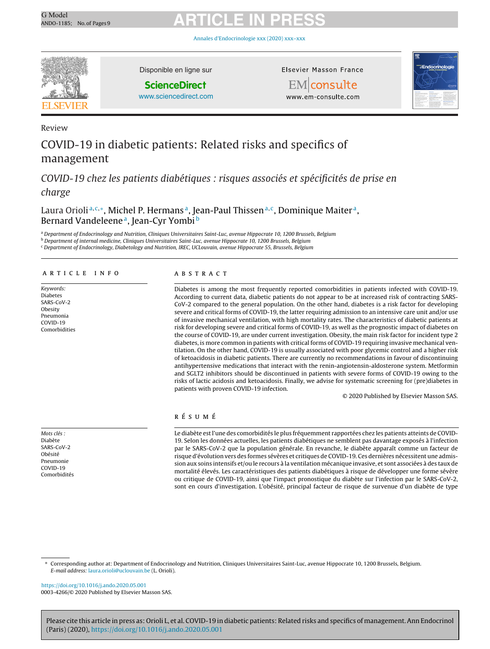Annales [d'Endocrinologie](https://doi.org/10.1016/j.ando.2020.05.001) xxx (2020) xxx–xxx



Disponible en ligne sur

**ScienceDirect**

[www.sciencedirect.com](http://www.sciencedirect.com/science/journal/00034266)

Elsevier Masson France

EMconsulte www.em-consulte.com



Review

### COVID-19 in diabetic patients: Related risks and specifics of management

COVID-19 chez les patients diabétiques : risques associés et spécificités de prise en charge

Laura Orioli<sup>a,c,\*</sup>, Michel P. Hermans<sup>a</sup>, Jean-Paul Thissen<sup>a,c</sup>, Dominique Maiter<sup>a</sup>, Bernard Vandeleene<sup>a</sup>, Jean-Cyr Yombi<sup>b</sup>

<sup>a</sup> Department of Endocrinology and Nutrition, Cliniques Universitaires Saint-Luc, avenue Hippocrate 10, 1200 Brussels, Belgium

<sup>b</sup> Department of internal medicine, Cliniques Universitaires Saint-Luc, avenue Hippocrate 10, 1200 Brussels, Belgium

<sup>c</sup> Department of Endocrinology, Diabetology and Nutrition, IREC, UCLouvain, avenue Hippocrate 55, Brussels, Belgium

#### a r t i c l e i n f o

Keywords: Diabetes SARS-CoV-2 Obesity Pneumonia COVID-19 Comorbidities A B S T R A C T

Diabetes is among the most frequently reported comorbidities in patients infected with COVID-19. According to current data, diabetic patients do not appear to be at increased risk of contracting SARS-CoV-2 compared to the general population. On the other hand, diabetes is a risk factor for developing severe and critical forms of COVID-19, the latter requiring admission to an intensive care unit and/or use of invasive mechanical ventilation, with high mortality rates. The characteristics of diabetic patients at risk for developing severe and critical forms of COVID-19, as well as the prognostic impact of diabetes on the course of COVID-19, are under current investigation. Obesity, the main risk factor for incident type 2 diabetes, is more common in patients with critical forms of COVID-19 requiring invasive mechanical ventilation. On the other hand, COVID-19 is usually associated with poor glycemic control and a higher risk of ketoacidosis in diabetic patients. There are currently no recommendations in favour of discontinuing antihypertensive medications that interact with the renin-angiotensin-aldosterone system. Metformin and SGLT2 inhibitors should be discontinued in patients with severe forms of COVID-19 owing to the risks of lactic acidosis and ketoacidosis. Finally, we advise for systematic screening for (pre)diabetes in patients with proven COVID-19 infection.

© 2020 Published by Elsevier Masson SAS.

### r é s u m é

Le diabète est l'une des comorbidités le plus fréquemment rapportées chez les patients atteints de COVID-19. Selon les données actuelles, les patients diabétiques ne semblent pas davantage exposés à l'infection par le SARS-CoV-2 que la population générale. En revanche, le diabète apparaît comme un facteur de risque d'évolution vers des formes sévères et critiques de COVID-19. Ces dernières nécessitent une admission aux soins intensifs et/ou le recours à la ventilation mécanique invasive, et sont associées à des taux de mortalité élevés. Les caractéristiques des patients diabétiques à risque de développer une forme sévère ou critique de COVID-19, ainsi que l'impact pronostique du diabète sur l'infection par le SARS-CoV-2, sont en cours d'investigation. L'obésité, principal facteur de risque de survenue d'un diabète de type

∗ Corresponding author at: Department of Endocrinology and Nutrition, Cliniques Universitaires Saint-Luc, avenue Hippocrate 10, 1200 Brussels, Belgium. E-mail address: [laura.orioli@uclouvain.be](mailto:laura.orioli@uclouvain.be) (L. Orioli).

<https://doi.org/10.1016/j.ando.2020.05.001> 0003-4266/© 2020 Published by Elsevier Masson SAS.

Please cite this article in press as: Orioli L, et al. COVID-19 in diabetic patients: Related risks and specifics of management. Ann Endocrinol (Paris) (2020), <https://doi.org/10.1016/j.ando.2020.05.001>

Mots clés : Diabète SARS-CoV-2 Obésité Pneumonie COVID-19 Comorbidités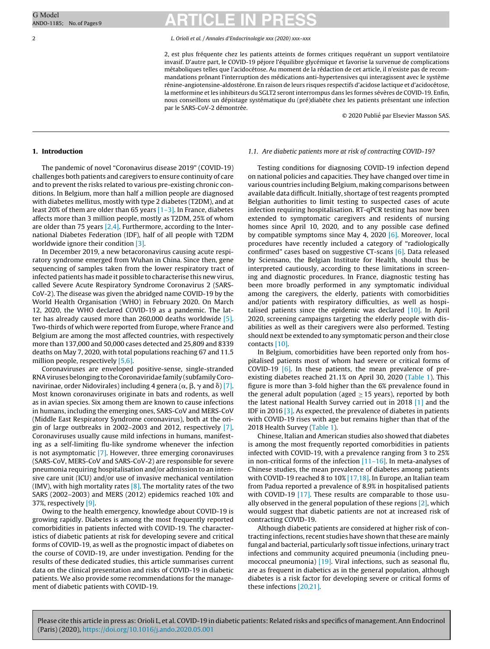2 L. Orioli et al. / Annales d'Endocrinologie xxx (2020) xxx–xxx

2, est plus fréquente chez les patients atteints de formes critiques requérant un support ventilatoire invasif. D'autre part, le COVID-19 péjore l'équilibre glycémique et favorise la survenue de complications métaboliques telles que l'acidocétose. Au moment de la rédaction de cet article, il n'existe pas de recommandations prônant l'interruption des médications anti-hypertensives qui interagissent avec le système rénine-angiotensine-aldostérone. En raison de leurs risques respectifs d'acidose lactique et d'acidocétose, la metformine et les inhibiteurs du SGLT2 seront interrompus dans les formes sévères de COVID-19. Enfin, nous conseillons un dépistage systématique du (pré)diabète chez les patients présentant une infection par le SARS-CoV-2 démontrée.

© 2020 Publié par Elsevier Masson SAS.

### **1. Introduction**

The pandemic of novel "Coronavirus disease 2019" (COVID-19) challenges both patients and caregivers to ensure continuity of care and to prevent the risks related to various pre-existing chronic conditions. In Belgium, more than half a million people are diagnosed with diabetes mellitus, mostly with type 2 diabetes (T2DM), and at least 20% of them are older than 65 years  $[1-3]$ . In France, diabetes affects more than 3 million people, mostly as T2DM, 25% of whom are older than 75 years  $[2,4]$ . Furthermore, according to the International Diabetes Federation (IDF), half of all people with T2DM worldwide ignore their condition [\[3\].](#page-6-0)

In December 2019, a new betacoronavirus causing acute respiratory syndrome emerged from Wuhan in China. Since then, gene sequencing of samples taken from the lower respiratory tract of infected patients has made it possible to characterise this new virus, called Severe Acute Respiratory Syndrome Coronavirus 2 (SARS-CoV-2). The disease was given the abridged name COVID-19 by the World Health Organisation (WHO) in February 2020. On March 12, 2020, the WHO declared COVID-19 as a pandemic. The latter has already caused more than 260,000 deaths worldwide [\[5\].](#page-6-0) Two-thirds of which were reported from Europe, where France and Belgium are among the most affected countries, with respectively more than 137,000 and 50,000 cases detected and 25,809 and 8339 deaths on May 7, 2020, with total populations reaching 67 and 11.5 million people, respectively [\[5,6\].](#page-6-0)

Coronaviruses are enveloped positive-sense, single-stranded RNAviruses belonging to theCoronaviridae family (subfamilyCoronavirinae, order Nidovirales) including 4 genera ( $\alpha$ ,  $\beta$ ,  $\gamma$  and  $\delta$ ) [\[7\].](#page-6-0) Most known coronaviruses originate in bats and rodents, as well as in avian species. Six among them are known to cause infections in humans, including the emerging ones, SARS-CoV and MERS-CoV (Middle East Respiratory Syndrome coronavirus), both at the origin of large outbreaks in 2002–2003 and 2012, respectively [\[7\].](#page-6-0) Coronaviruses usually cause mild infections in humans, manifesting as a self-limiting flu-like syndrome whenever the infection is not asymptomatic [\[7\].](#page-6-0) However, three emerging coronaviruses (SARS-CoV, MERS-CoV and SARS-CoV-2) are responsible for severe pneumonia requiring hospitalisation and/or admission to an intensive care unit (ICU) and/or use of invasive mechanical ventilation (IMV), with high mortality rates  $[8]$ . The mortality rates of the two SARS (2002–2003) and MERS (2012) epidemics reached 10% and 37%, respectively [\[9\].](#page-7-0)

Owing to the health emergency, knowledge about COVID-19 is growing rapidly. Diabetes is among the most frequently reported comorbidities in patients infected with COVID-19. The characteristics of diabetic patients at risk for developing severe and critical forms of COVID-19, as well as the prognostic impact of diabetes on the course of COVID-19, are under investigation. Pending for the results of these dedicated studies, this article summarises current data on the clinical presentation and risks of COVID-19 in diabetic patients. We also provide some recommendations for the management of diabetic patients with COVID-19.

#### 1.1. Are diabetic patients more at risk of contracting COVID-19?

Testing conditions for diagnosing COVID-19 infection depend on national policies and capacities. They have changed over time in various countries including Belgium, making comparisons between available data difficult. Initially, shortage of test reagents prompted Belgian authorities to limit testing to suspected cases of acute infection requiring hospitalisation. RT-qPCR testing has now been extended to symptomatic caregivers and residents of nursing homes since April 10, 2020, and to any possible case defined by compatible symptoms since May 4, 2020 [\[6\].](#page-6-0) Moreover, local procedures have recently included a category of "radiologically confirmed" cases based on suggestive CT-scans  $[6]$ . Data released by Sciensano, the Belgian Institute for Health, should thus be interpreted cautiously, according to these limitations in screening and diagnostic procedures. In France, diagnostic testing has been more broadly performed in any symptomatic individual among the caregivers, the elderly, patients with comorbidities and/or patients with respiratory difficulties, as well as hospitalised patients since the epidemic was declared  $[10]$ . In April 2020, screening campaigns targeting the elderly people with disabilities as well as their caregivers were also performed. Testing should next be extended to any symptomatic person and their close contacts [\[10\].](#page-7-0)

In Belgium, comorbidities have been reported only from hospitalised patients most of whom had severe or critical forms of COVID-19 [\[6\].](#page-6-0) In these patients, the mean prevalence of preexisting diabetes reached 21.1% on April 30, 2020 ([Table](#page-2-0) 1). This figure is more than 3-fold higher than the 6% prevalence found in the general adult population (aged  $\geq$  15 years), reported by both the latest national Health Survey carried out in 2018 [\[1\]](#page-6-0) and the IDF in 2016 [\[3\].](#page-6-0) As expected, the prevalence of diabetes in patients with COVID-19 rises with age but remains higher than that of the 2018 Health Survey [\(Table](#page-2-0) 1).

Chinese, Italian and American studies also showed that diabetes is among the most frequently reported comorbidities in patients infected with COVID-19, with a prevalence ranging from 3 to 25% in non-critical forms of the infection  $[11-16]$ . In meta-analyses of Chinese studies, the mean prevalence of diabetes among patients with COVID-19 reached 8 to 10% [\[17,18\].](#page-7-0) In Europe, an Italian team from Padua reported a prevalence of 8.9% in hospitalised patients with COVID-19 [\[17\].](#page-7-0) These results are comparable to those usually observed in the general population of these regions  $[2]$ , which would suggest that diabetic patients are not at increased risk of contracting COVID-19.

Although diabetic patients are considered at higher risk of contracting infections, recent studies have shown that these are mainly fungal and bacterial, particularly soft tissue infections, urinary tract infections and community acquired pneumonia (including pneumococcal pneumonia) [\[19\].](#page-7-0) Viral infections, such as seasonal flu, are as frequent in diabetics as in the general population, although diabetes is a risk factor for developing severe or critical forms of these infections [\[20,21\].](#page-7-0)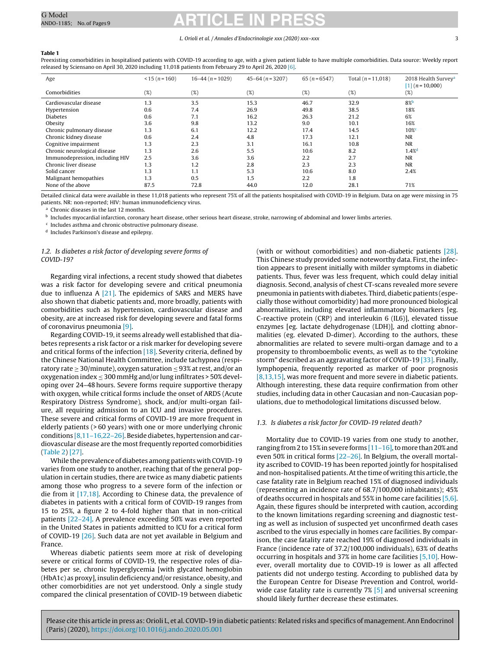#### L. Orioli et al. / Annales d'Endocrinologie xxx (2020) xxx–xxx 3

#### <span id="page-2-0"></span>**Table 1**

Preexisting comorbidities in hospitalised patients with COVID-19 according to age, with a given patient liable to have multiple comorbidities. Data source: Weekly report released by Sciensano on April 30, 2020 including 11,018 patients from February 29 to April 26, 2020 [\[6\].](#page-6-0)

| Age                             | $<$ 15 (n = 160) | $16-44(n=1029)$ | $45-64(n=3207)$ | $65(n=6547)$ | Total $(n = 11,018)$ | 2018 Health Survey <sup>a</sup><br>$[1]$ (n = 10,000) |
|---------------------------------|------------------|-----------------|-----------------|--------------|----------------------|-------------------------------------------------------|
| Comorbidities                   | (%)              | (%)             | (%)             | (%)          | (%)                  | (%)                                                   |
| Cardiovascular disease          | 1.3              | 3.5             | 15.3            | 46.7         | 32.9                 | $8\%$                                                 |
| Hypertension                    | 0.6              | 7.4             | 26.9            | 49.8         | 38.5                 | 18%                                                   |
| <b>Diabetes</b>                 | 0.6              | 7.1             | 16.2            | 26.3         | 21.2                 | 6%                                                    |
| Obesity                         | 3.6              | 9.8             | 13.2            | 9.0          | 10.1                 | 16%                                                   |
| Chronic pulmonary disease       | 1.3              | 6.1             | 12.2            | 17.4         | 14.5                 | $10\%$                                                |
| Chronic kidney disease          | 0.6              | 2.4             | 4.8             | 17.3         | 12.1                 | <b>NR</b>                                             |
| Cognitive impairment            | 1.3              | 2.3             | 3.1             | 16.1         | 10.8                 | <b>NR</b>                                             |
| Chronic neurological disease    | 1.3              | 2.6             | 5.5             | 10.6         | 8.2                  | $1.4%^{d}$                                            |
| Immunodepression, including HIV | 2.5              | 3.6             | 3.6             | 2.2          | 2.7                  | <b>NR</b>                                             |
| Chronic liver disease           | 1.3              | 1.2             | 2.8             | 2.3          | 2.3                  | <b>NR</b>                                             |
| Solid cancer                    | 1.3              | 1.1             | 5.3             | 10.6         | 8.0                  | 2.4%                                                  |
| Malignant hemopathies           | 1.3              | 0.5             | 1.5             | 2.2          | 1.8                  |                                                       |
| None of the above               | 87.5             | 72.8            | 44.0            | 12.0         | 28.1                 | 71%                                                   |

Detailed clinical data were available in these 11,018 patients who represent 75% of all the patients hospitalised with COVID-19 in Belgium. Data on age were missing in 75 patients. NR: non-reported; HIV: human immunodeficiency virus.

<sup>a</sup> Chronic diseases in the last 12 months.

<sup>b</sup> Includes myocardial infarction, coronary heart disease, other serious heart disease, stroke, narrowing of abdominal and lower limbs arteries.

<sup>c</sup> Includes asthma and chronic obstructive pulmonary disease.

<sup>d</sup> Includes Parkinson's disease and epilepsy.

#### 1.2. Is diabetes a risk factor of developing severe forms of COVID-19?

Regarding viral infections, a recent study showed that diabetes was a risk factor for developing severe and critical pneumonia due to influenza A [\[21\].](#page-7-0) The epidemics of SARS and MERS have also shown that diabetic patients and, more broadly, patients with comorbidities such as hypertension, cardiovascular disease and obesity, are at increased risk for developing severe and fatal forms of coronavirus pneumonia [\[9\].](#page-7-0)

Regarding COVID-19, it seems already well established that diabetes represents a risk factor or a risk marker for developing severe and critical forms of the infection  $[18]$ . Severity criteria, defined by the Chinese National Health Committee, include tachypnea (respiratory rate  $\geq 30$ /minute), oxygen saturation  $\leq 93\%$  at rest, and/or an oxygenation index  $\leq$  300 mmHg and/or lung infiltrates > 50% developing over 24–48 hours. Severe forms require supportive therapy with oxygen, while critical forms include the onset of ARDS (Acute Respiratory Distress Syndrome), shock, and/or multi-organ failure, all requiring admission to an ICU and invasive procedures. These severe and critical forms of COVID-19 are more frequent in elderly patients (> 60 years) with one or more underlying chronic conditions [\[8,11–16,22–26\].](#page-6-0) Beside diabetes, hypertension and cardiovascular disease are the most frequently reported comorbidities ([Table](#page-3-0) 2) [\[27\].](#page-7-0)

While the prevalence of diabetes among patients with COVID-19 varies from one study to another, reaching that of the general population in certain studies, there are twice as many diabetic patients among those who progress to a severe form of the infection or die from it [\[17,18\].](#page-7-0) According to Chinese data, the prevalence of diabetes in patients with a critical form of COVID-19 ranges from 15 to 25%, a figure 2 to 4-fold higher than that in non-critical patients [\[22–24\].](#page-7-0) A prevalence exceeding 50% was even reported in the United States in patients admitted to ICU for a critical form of COVID-19 [\[26\].](#page-7-0) Such data are not yet available in Belgium and France.

Whereas diabetic patients seem more at risk of developing severe or critical forms of COVID-19, the respective roles of diabetes per se, chronic hyperglycemia [with glycated hemoglobin (HbA1c) as proxy], insulin deficiency and/or resistance, obesity, and other comorbidities are not yet understood. Only a single study compared the clinical presentation of COVID-19 between diabetic (with or without comorbidities) and non-diabetic patients [\[28\].](#page-7-0) This Chinese study provided some noteworthy data. First, the infection appears to present initially with milder symptoms in diabetic patients. Thus, fever was less frequent, which could delay initial diagnosis. Second, analysis of chest CT-scans revealed more severe pneumonia in patients with diabetes. Third, diabetic patients (especially those without comorbidity) had more pronounced biological abnormalities, including elevated inflammatory biomarkers [eg. C-reactive protein (CRP) and interleukin 6 (IL6)], elevated tissue enzymes [eg. lactate dehydrogenase (LDH)], and clotting abnormalities (eg. elevated D-dimer). According to the authors, these abnormalities are related to severe multi-organ damage and to a propensity to thromboembolic events, as well as to the "cytokine storm" described as an aggravating factor of COVID-19 [\[33\].](#page-7-0) Finally, lymphopenia, frequently reported as marker of poor prognosis [\[8,13,15\],](#page-6-0) was more frequent and more severe in diabetic patients. Although interesting, these data require confirmation from other studies, including data in other Caucasian and non-Caucasian populations, due to methodological limitations discussed below.

#### 1.3. Is diabetes a risk factor for COVID-19 related death?

Mortality due to COVID-19 varies from one study to another, ranging from 2 to 15% in severe forms  $[11-16]$ , to more than 20% and even 50% in critical forms [\[22–26\].](#page-7-0) In Belgium, the overall mortality ascribed to COVID-19 has been reported jointly for hospitalised and non-hospitalised patients. At the time of writing this article, the case fatality rate in Belgium reached 15% of diagnosed individuals (representing an incidence rate of 68.7/100,000 inhabitants); 45% of deaths occurred in hospitals and 55% in home care facilities [\[5,6\].](#page-6-0) Again, these figures should be interpreted with caution, according to the known limitations regarding screening and diagnostic testing as well as inclusion of suspected yet unconfirmed death cases ascribed to the virus especially in homes care facilities. By comparison, the case fatality rate reached 19% of diagnosed individuals in France (incidence rate of 37.2/100,000 individuals), 63% of deaths occurring in hospitals and 37% in home care facilities [\[5,10\].](#page-6-0) However, overall mortality due to COVID-19 is lower as all affected patients did not undergo testing. According to published data by the European Centre for Disease Prevention and Control, world-wide case fatality rate is currently 7% [\[5\]](#page-6-0) and universal screening should likely further decrease these estimates.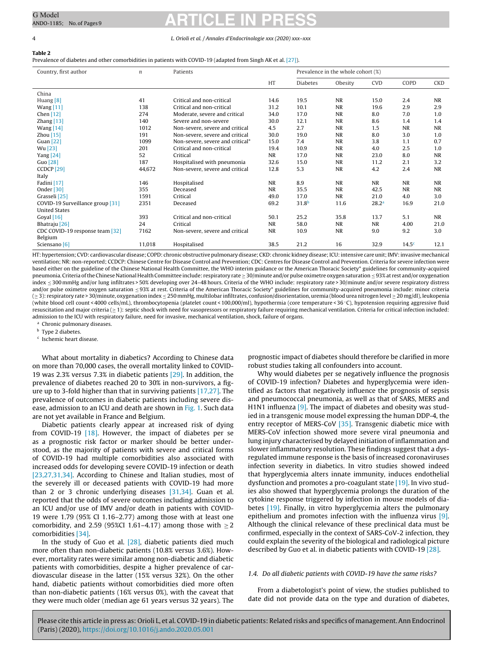#### <span id="page-3-0"></span>4 L. Orioli et al. / Annales d'Endocrinologie xxx (2020) xxx–xxx

**Table 2**

Prevalence of diabetes and other comorbidities in patients with COVID-19 (adapted from Singh AK et al. [\[27\]\).](#page-7-0)

| Country, first author            | $\boldsymbol{n}$ | Patients                         |           | Prevalence in the whole cohort (%) |           |                   |                   |            |
|----------------------------------|------------------|----------------------------------|-----------|------------------------------------|-----------|-------------------|-------------------|------------|
|                                  |                  |                                  | HT        | <b>Diabetes</b>                    | Obesity   | <b>CVD</b>        | COPD              | <b>CKD</b> |
| China                            |                  |                                  |           |                                    |           |                   |                   |            |
| Huang $[8]$                      | 41               | Critical and non-critical        | 14.6      | 19.5                               | <b>NR</b> | 15.0              | 2.4               | <b>NR</b>  |
| Wang $[11]$                      | 138              | Critical and non-critical        | 31.2      | 10.1                               | <b>NR</b> | 19.6              | 2.9               | 2.9        |
| Chen $[12]$                      | 274              | Moderate, severe and critical    | 34.0      | 17.0                               | <b>NR</b> | 8.0               | 7.0               | 1.0        |
| Zhang $[13]$                     | 140              | Severe and non-severe            | 30.0      | 12.1                               | <b>NR</b> | 8.6               | 1.4               | 1.4        |
| Wang $[14]$                      | 1012             | Non-severe, severe and critical  | 4.5       | 2.7                                | <b>NR</b> | 1.5               | <b>NR</b>         | <b>NR</b>  |
| Zhou $[15]$                      | 191              | Non-severe, severe and critical  | 30.0      | 19.0                               | <b>NR</b> | 8.0               | 3.0               | 1.0        |
| Guan $[22]$                      | 1099             | Non-severe, severe and critical* | 15.0      | 7.4                                | <b>NR</b> | 3.8               | 1.1               | 0.7        |
| Wu [23]                          | 201              | Critical and non-critical        | 19.4      | 10.9                               | <b>NR</b> | 4.0               | 2.5               | 1.0        |
| Yang $[24]$                      | 52               | Critical                         | <b>NR</b> | 17.0                               | <b>NR</b> | 23.0              | 8.0               | <b>NR</b>  |
| Guo $[28]$                       | 187              | Hospitalised with pneumonia      | 32.6      | 15.0                               | <b>NR</b> | 11.2              | 2.1               | 3.2        |
| CCDCP <sup>[29]</sup>            | 44,672           | Non-severe, severe and critical  | 12.8      | 5.3                                | <b>NR</b> | 4.2               | 2.4               | <b>NR</b>  |
| Italy                            |                  |                                  |           |                                    |           |                   |                   |            |
| Fadini [17]                      | 146              | Hospitalised                     | <b>NR</b> | 8.9                                | <b>NR</b> | <b>NR</b>         | <b>NR</b>         | <b>NR</b>  |
| Onder [30]                       | 355              | Deceased                         | <b>NR</b> | 35.5                               | <b>NR</b> | 42.5              | <b>NR</b>         | <b>NR</b>  |
| Grasseli <sup>[25]</sup>         | 1591             | Critical                         | 49.0      | 17.0                               | <b>NR</b> | 21.0              | 4.0               | 3.0        |
| COVID-19 Surveillance group [31] | 2351             | Deceased                         | 69.2      | 31.8 <sup>b</sup>                  | 11.6      | 28.2 <sup>a</sup> | 16.9              | 21.0       |
| <b>United States</b>             |                  |                                  |           |                                    |           |                   |                   |            |
| Goyal [16]                       | 393              | Critical and non-critical        | 50.1      | 25.2                               | 35.8      | 13.7              | 5.1               | <b>NR</b>  |
| Bhatraju [26]                    | 24               | Critical                         | <b>NR</b> | 58.0                               | <b>NR</b> | <b>NR</b>         | 4.00              | 21.0       |
| CDC COVID-19 response team [32]  | 7162             | Non-severe, severe and critical  | <b>NR</b> | 10.9                               | <b>NR</b> | 9.0               | 9.2               | 3.0        |
| Belgium                          |                  |                                  |           |                                    |           |                   |                   |            |
| Sciensano [6]                    | 11,018           | Hospitalised                     | 38.5      | 21.2                               | 16        | 32.9              | 14.5 <sup>c</sup> | 12.1       |

HT: hypertension; CVD: cardiovascular disease; COPD: chronic obstructive pulmonary disease; CKD: chronic kidney disease;ICU:intensive care unit;IMV:invasivemechanical ventilation; NR: non-reported; CCDCP: Chinese Centre for Disease Control and Prevention; CDC: Centres for Disease Control and Prevention. Criteria for severe infection were based either on the guideline of the Chinese National Health Committee, the WHO interim guidance or the American Thoracic Society\* guidelines for community-acquired pneumonia. Criteria of the Chinese National Health Committee include: respiratory rate ≥ 30/minute and/or pulse oximetre oxygen saturation ≤ 93% at rest and/or oxygenation index ≤ 300 mmHg and/or lung infiltrates > 50% developing over 24–48 hours. Criteria of the WHO include: respiratory rate > 30/minute and/or severe respiratory distress and/or pulse oximetre oxygen saturation ≤93% at rest. Criteria of the American Thoracic Society\* guidelines for community-acquired pneumonia include: minor criteria (≥ 3): respiratory rate > 30/minute, oxygenation index ≤ 250 mmHg, multilobar infiltrates, confusion/disorientation, uremia (blood urea nitrogen level ≥ 20 mg/dl), leukopenia (white blood cell count < 4000 cells/mL), thrombocytopenia (platelet count < 100,000/ml), hypothermia (core temperature < 36 ◦C), hypotension requiring aggressive fluid resuscitation and major criteria (≥ 1): septic shock with need for vasopressors or respiratory failure requiring mechanical ventilation. Criteria for critical infection included: admission to the ICU with respiratory failure, need for invasive, mechanical ventilation, shock, failure of organs.

<sup>a</sup> Chronic pulmonary diseases.

**b** Type 2 diabetes.

<sup>c</sup> Ischemic heart disease.

What about mortality in diabetics? According to Chinese data on more than 70,000 cases, the overall mortality linked to COVID-19 was 2.3% versus 7.3% in diabetic patients [\[29\].](#page-7-0) In addition, the prevalence of diabetes reached 20 to 30% in non-survivors, a figure up to 3-fold higher than that in surviving patients [\[17,27\].](#page-7-0) The prevalence of outcomes in diabetic patients including severe dis-ease, admission to an ICU and death are shown in [Fig.](#page-4-0) 1. Such data are not yet available in France and Belgium.

Diabetic patients clearly appear at increased risk of dying from COVID-19 [\[18\].](#page-7-0) However, the impact of diabetes per se as a prognostic risk factor or marker should be better understood, as the majority of patients with severe and critical forms of COVID-19 had multiple comorbidities also associated with increased odds for developing severe COVID-19 infection or death [\[23,27,31,34\].](#page-7-0) According to Chinese and Italian studies, most of the severely ill or deceased patients with COVID-19 had more than 2 or 3 chronic underlying diseases [\[31,34\].](#page-7-0) Guan et al. reported that the odds of severe outcomes including admission to an ICU and/or use of IMV and/or death in patients with COVID-19 were 1.79 (95% CI 1.16–2.77) among those with at least one comorbidity, and 2.59 (95%CI 1.61–4.17) among those with  $\geq$  2 comorbidities [\[34\].](#page-7-0)

In the study of Guo et al. [\[28\],](#page-7-0) diabetic patients died much more often than non-diabetic patients (10.8% versus 3.6%). However, mortality rates were similar among non-diabetic and diabetic patients with comorbidities, despite a higher prevalence of cardiovascular disease in the latter (15% versus 32%). On the other hand, diabetic patients without comorbidities died more often than non-diabetic patients (16% versus 0%), with the caveat that they were much older (median age 61 years versus 32 years). The

prognostic impact of diabetes should therefore be clarified in more robust studies taking all confounders into account.

Why would diabetes per se negatively influence the prognosis of COVID-19 infection? Diabetes and hyperglycemia were identified as factors that negatively influence the prognosis of sepsis and pneumococcal pneumonia, as well as that of SARS, MERS and H1N1 influenza [\[9\].](#page-7-0) The impact of diabetes and obesity was studied in a transgenic mouse model expressing the human DDP-4, the entry receptor of MERS-CoV [\[35\].](#page-7-0) Transgenic diabetic mice with MERS-CoV infection showed more severe viral pneumonia and lung injury characterised by delayed initiation of inflammation and slower inflammatory resolution. These findings suggest that a dysregulated immune response is the basis of increased coronaviruses infection severity in diabetics. In vitro studies showed indeed that hyperglycemia alters innate immunity, induces endothelial dysfunction and promotes a pro-coagulant state [\[19\].](#page-7-0) In vivo studies also showed that hyperglycemia prolongs the duration of the cytokine response triggered by infection in mouse models of diabetes [\[19\].](#page-7-0) Finally, in vitro hyperglycemia alters the pulmonary epithelium and promotes infection with the influenza virus [\[9\].](#page-7-0) Although the clinical relevance of these preclinical data must be confirmed, especially in the context of SARS-CoV-2 infection, they could explain the severity of the biological and radiological picture described by Guo et al. in diabetic patients with COVID-19 [\[28\].](#page-7-0)

#### 1.4. Do all diabetic patients with COVID-19 have the same risks?

From a diabetologist's point of view, the studies published to date did not provide data on the type and duration of diabetes,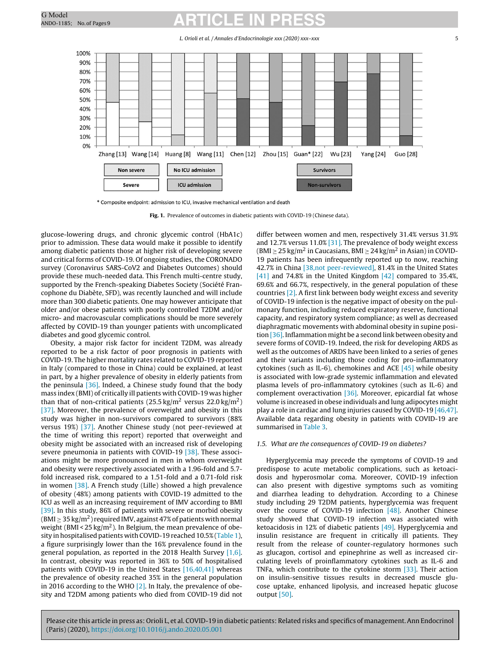L. Orioli et al. / Annales d'Endocrinologie xxx (2020) xxx–xxx 5

<span id="page-4-0"></span>

\* Composite endpoint: admission to ICU, invasive mechanical ventilation and death

**Fig. 1.** Prevalence of outcomes in diabetic patients with COVID-19 (Chinese data).

glucose-lowering drugs, and chronic glycemic control (HbA1c) prior to admission. These data would make it possible to identify among diabetic patients those at higher risk of developing severe and critical forms of COVID-19. Of ongoing studies, the CORONADO survey (Coronavirus SARS-CoV2 and Diabetes Outcomes) should provide these much-needed data. This French multi-centre study, supported by the French-speaking Diabetes Society (Société Francophone du Diabète, SFD), was recently launched and will include more than 300 diabetic patients. One may however anticipate that older and/or obese patients with poorly controlled T2DM and/or micro- and macrovascular complications should be more severely affected by COVID-19 than younger patients with uncomplicated diabetes and good glycemic control.

Obesity, a major risk factor for incident T2DM, was already reported to be a risk factor of poor prognosis in patients with COVID-19. The higher mortality rates related to COVID-19 reported in Italy (compared to those in China) could be explained, at least in part, by a higher prevalence of obesity in elderly patients from the peninsula  $[36]$ . Indeed, a Chinese study found that the body mass index (BMI) of critically ill patients with COVID-19 was higher than that of non-critical patients  $(25.5 \text{ kg/m}^2 \text{ versus } 22.0 \text{ kg/m}^2)$ [\[37\].](#page-7-0) Moreover, the prevalence of overweight and obesity in this study was higher in non-survivors compared to survivors (88% versus 19%) [\[37\].](#page-7-0) Another Chinese study (not peer-reviewed at the time of writing this report) reported that overweight and obesity might be associated with an increased risk of developing severe pneumonia in patients with COVID-19 [\[38\].](#page-7-0) These associations might be more pronounced in men in whom overweight and obesity were respectively associated with a 1.96-fold and 5.7 fold increased risk, compared to a 1.51-fold and a 0.71-fold risk in women [\[38\].](#page-7-0) A French study (Lille) showed a high prevalence of obesity (48%) among patients with COVID-19 admitted to the ICU as well as an increasing requirement of IMV according to BMI [\[39\].](#page-7-0) In this study, 86% of patients with severe or morbid obesity (BMI  $\geq$  35 kg/m<sup>2</sup>) required IMV, against 47% of patients with normal weight (BMI <  $25 \text{ kg/m}^2$ ). In Belgium, the mean prevalence of obesity in hospitalised patients with COVID-19 reached 10.5% ([Table](#page-2-0) 1), a figure surprisingly lower than the 16% prevalence found in the general population, as reported in the 2018 Health Survey  $[1,6]$ . In contrast, obesity was reported in 36% to 50% of hospitalised patients with COVID-19 in the United States [\[16,40,41\]](#page-7-0) whereas the prevalence of obesity reached 35% in the general population in 2016 according to the WHO [\[2\].](#page-6-0) In Italy, the prevalence of obesity and T2DM among patients who died from COVID-19 did not

differ between women and men, respectively 31.4% versus 31.9% and 12.7% versus 11.0% [\[31\].](#page-7-0) The prevalence of body weight excess (BMI  $\geq$  25 kg/m<sup>2</sup> in Caucasians, BMI  $\geq$  24 kg/m<sup>2</sup> in Asian) in COVID-19 patients has been infrequently reported up to now, reaching 42.7% in China [\[38,not](#page-7-0) [peer-reviewed\],](#page-7-0) 81.4% in the United States [\[41\]](#page-7-0) and 74.8% in the United Kingdom [\[42\]](#page-7-0) compared to 35.4%, 69.6% and 66.7%, respectively, in the general population of these countries [\[2\].](#page-6-0) A first link between body weight excess and severity of COVID-19 infection is the negative impact of obesity on the pulmonary function, including reduced expiratory reserve, functional capacity, and respiratory system compliance; as well as decreased diaphragmatic movements with abdominal obesity in supine position [\[36\].](#page-7-0) Inflammation might be a second link between obesity and severe forms of COVID-19. Indeed, the risk for developing ARDS as well as the outcomes of ARDS have been linked to a series of genes and their variants including those coding for pro-inflammatory cytokines (such as IL-6), chemokines and ACE [\[45\]](#page-7-0) while obesity is associated with low-grade systemic inflammation and elevated plasma levels of pro-inflammatory cytokines (such as IL-6) and complement overactivation  $[36]$ . Moreover, epicardial fat whose volume is increased in obese individuals and lung adipocytes might play a role in cardiac and lung injuries caused by COVID-19 [\[46,47\].](#page-7-0) Available data regarding obesity in patients with COVID-19 are summarised in [Table](#page-5-0) 3.

#### 1.5. What are the consequences of COVID-19 on diabetes?

Hyperglycemia may precede the symptoms of COVID-19 and predispose to acute metabolic complications, such as ketoacidosis and hyperosmolar coma. Moreover, COVID-19 infection can also present with digestive symptoms such as vomiting and diarrhea leading to dehydration. According to a Chinese study including 29 T2DM patients, hyperglycemia was frequent over the course of COVID-19 infection [\[48\].](#page-7-0) Another Chinese study showed that COVID-19 infection was associated with ketoacidosis in 12% of diabetic patients [\[49\].](#page-7-0) Hyperglycemia and insulin resistance are frequent in critically ill patients. They result from the release of counter-regulatory hormones such as glucagon, cortisol and epinephrine as well as increased circulating levels of proinflammatory cytokines such as IL-6 and TNFa, which contribute to the cytokine storm [\[33\].](#page-7-0) Their action on insulin-sensitive tissues results in decreased muscle glucose uptake, enhanced lipolysis, and increased hepatic glucose output [\[50\].](#page-7-0)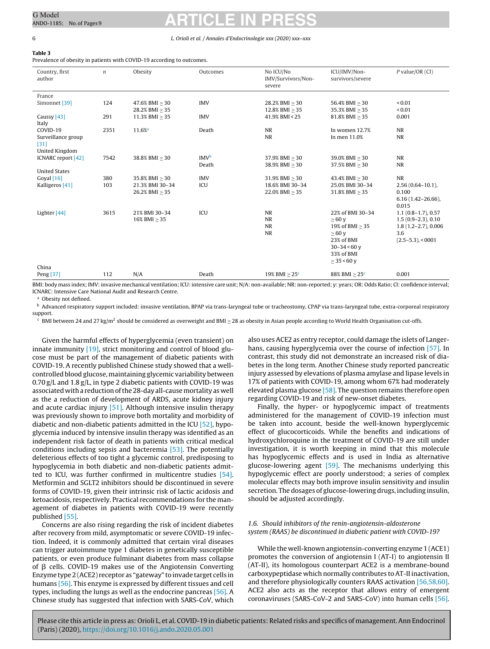#### <span id="page-5-0"></span>6 L. Orioli et al. / Annales d'Endocrinologie xxx (2020) xxx–xxx

**Table 3**

Prevalence of obesity in patients with COVID-19 according to outcomes.

| Country, first<br>author      | $\boldsymbol{n}$ | Obesity                               | Outcomes         | No ICU/No<br>IMV/Survivors/Non-<br>severe | ICU/IMV/Non-<br>survivors/severe  | $P$ value/OR $(CI)$    |
|-------------------------------|------------------|---------------------------------------|------------------|-------------------------------------------|-----------------------------------|------------------------|
| France                        |                  |                                       |                  |                                           |                                   |                        |
| Simonnet [39]                 | 124              | $47.6\%$ BMI $>30$                    | <b>IMV</b>       | $28.2%$ BMI $>30$                         | 56.4% BMI > 30                    | ${}_{< 0.01}$          |
|                               |                  | 28.2% BMI > 35                        |                  | $12.8\%$ BMI $>35$                        | 35.3% BMI > 35                    | ${}_{< 0.01}$          |
| Caussy [43]                   | 291              | $11.3\%$ BMI $>35$                    | <b>IMV</b>       | 41.9% BMI < 25                            | 81.8% BMI > 35                    | 0.001                  |
| Italy                         |                  |                                       |                  |                                           |                                   |                        |
| COVID-19                      | 2351             | $11.6%$ <sup>a</sup>                  | Death            | <b>NR</b>                                 | In women 12.7%                    | <b>NR</b>              |
| Surveillance group            |                  |                                       |                  | <b>NR</b>                                 | In men 11.0%                      | NR                     |
| $[31]$                        |                  |                                       |                  |                                           |                                   |                        |
| United Kingdom                |                  |                                       |                  |                                           |                                   |                        |
| ICNARC report [42]            | 7542             | 38.8% BMI > 30                        | IMV <sup>b</sup> | $37.9\%$ BMI $>30$                        | 39.0% BMI > 30                    | <b>NR</b>              |
|                               |                  |                                       | Death            | 38.9% BMI > 30                            | 37.5% BMI > 30                    | <b>NR</b>              |
| <b>United States</b>          | 380              |                                       | <b>IMV</b>       | $31.9\%$ BMI $>30$                        |                                   | <b>NR</b>              |
| Goyal [16]<br>Kalligeros [41] | 103              | $35.8\%$ BMI $>30$<br>21.3% BMI 30-34 | ICU              | 18.6% BMI 30-34                           | 43.4% BMI > 30<br>25.0% BMI 30-34 | $2.56(0.64 - 10.1)$ ,  |
|                               |                  | 26.2% BMI > 35                        |                  | 22.0% BMI > 35                            | $31.8\%$ BMI $>35$                | 0.100                  |
|                               |                  |                                       |                  |                                           |                                   | $6.16(1.42 - 26.66)$ , |
|                               |                  |                                       |                  |                                           |                                   | 0.015                  |
| Lighter [44]                  | 3615             | 21% BMI 30-34                         | ICU              | <b>NR</b>                                 | 22% of BMI 30-34                  | $1.1(0.8-1.7), 0.57$   |
|                               |                  | $16\%$ BMI $>35$                      |                  | <b>NR</b>                                 | >60v                              | $1.5(0.9-2.3), 0.10$   |
|                               |                  |                                       |                  | <b>NR</b>                                 | 19% of BMI $> 35$                 | $1.8(1.2-2.7), 0.006$  |
|                               |                  |                                       |                  | <b>NR</b>                                 | >60v                              | 3.6                    |
|                               |                  |                                       |                  |                                           | 23% of BMI                        | $(2.5-5.3)$ , < 0001   |
|                               |                  |                                       |                  |                                           | $30 - 34 < 60$ v                  |                        |
|                               |                  |                                       |                  |                                           | 33% of BMI                        |                        |
|                               |                  |                                       |                  |                                           | $> 35 < 60$ v                     |                        |
| China                         |                  |                                       |                  |                                           |                                   |                        |
| Peng [37]                     | 112              | N/A                                   | Death            | 19% BMI $\geq$ 25 <sup>c</sup>            | 88% BMI $>$ 25 $\text{c}$         | 0.001                  |

BMI: body mass index; IMV: invasive mechanical ventilation; ICU: intensive care unit; N/A: non-available; NR: non-reported; y: years; OR: Odds Ratio; CI: confidence interval; ICNARC: Intensive Care National Audit and Research Centre.

Obesity not defined.

<sup>b</sup> Advanced respiratory support included: invasive ventilation, BPAP via trans-laryngeal tube or tracheostomy, CPAP via trans-laryngeal tube, extra-corporeal respiratory support.

 $c$  BMI between 24 and 27 kg/m<sup>2</sup> should be considered as overweight and BMI  $\geq$  28 as obesity in Asian people according to World Health Organisation cut-offs.

Given the harmful effects of hyperglycemia (even transient) on innate immunity [\[19\],](#page-7-0) strict monitoring and control of blood glucose must be part of the management of diabetic patients with COVID-19. A recently published Chinese study showed that a wellcontrolled blood glucose, maintaining glycemic variability between  $0.70$  g/L and  $1.8$  g/L, in type 2 diabetic patients with COVID-19 was associated with a reduction of the 28-day all-cause mortality as well as the a reduction of development of ARDS, acute kidney injury and acute cardiac injury [\[51\].](#page-7-0) Although intensive insulin therapy was previously shown to improve both mortality and morbidity of diabetic and non-diabetic patients admitted in the ICU [\[52\],](#page-7-0) hypoglycemia induced by intensive insulin therapy was identified as an independent risk factor of death in patients with critical medical conditions including sepsis and bacteremia [\[53\].](#page-7-0) The potentially deleterious effects of too tight a glycemic control, predisposing to hypoglycemia in both diabetic and non-diabetic patients admitted to ICU, was further confirmed in multicentre studies [\[54\].](#page-7-0) Metformin and SGLT2 inhibitors should be discontinued in severe forms of COVID-19, given their intrinsic risk of lactic acidosis and ketoacidosis, respectively. Practical recommendations for the management of diabetes in patients with COVID-19 were recently published [\[55\].](#page-7-0)

Concerns are also rising regarding the risk of incident diabetes after recovery from mild, asymptomatic or severe COVID-19 infection. Indeed, it is commonly admitted that certain viral diseases can trigger autoimmune type 1 diabetes in genetically susceptible patients, or even produce fulminant diabetes from mass collapse of  $\beta$  cells. COVID-19 makes use of the Angiotensin Converting Enzyme type2(ACE2) receptor as "gateway" to invade target cells in humans [\[56\].](#page-7-0) This enzyme is expressed by different tissues and cell types, including the lungs as well as the endocrine pancreas [\[56\].](#page-7-0) A Chinese study has suggested that infection with SARS-CoV, which

also uses ACE2 as entry receptor, could damage the islets of Langerhans, causing hyperglycemia over the course of infection [\[57\].](#page-7-0) In contrast, this study did not demonstrate an increased risk of diabetes in the long term. Another Chinese study reported pancreatic injury assessed by elevations of plasma amylase and lipase levels in 17% of patients with COVID-19, among whom 67% had moderately elevated plasma glucose [\[58\].](#page-7-0) The question remains therefore open regarding COVID-19 and risk of new-onset diabetes.

Finally, the hyper- or hypoglycemic impact of treatments administered for the management of COVID-19 infection must be taken into account, beside the well-known hyperglycemic effect of glucocorticoids. While the benefits and indications of hydroxychloroquine in the treatment of COVID-19 are still under investigation, it is worth keeping in mind that this molecule has hypoglycemic effects and is used in India as alternative glucose-lowering agent [\[59\].](#page-7-0) The mechanisms underlying this hypoglycemic effect are poorly understood; a series of complex molecular effects may both improve insulin sensitivity and insulin secretion. The dosages of glucose-lowering drugs, including insulin, should be adjusted accordingly.

#### 1.6. Should inhibitors of the renin-angiotensin-aldosterone system (RAAS) be discontinued in diabetic patient with COVID-19?

While the well-known angiotensin-converting enzyme 1 (ACE1) promotes the conversion of angiotensin I (AT-I) to angiotensin II (AT-II), its homologous counterpart ACE2 is a membrane-bound carboxypeptidase which normally contributes to AT-II inactivation, and therefore physiologically counters RAAS activation [\[56,58,60\].](#page-7-0) ACE2 also acts as the receptor that allows entry of emergent coronaviruses (SARS-CoV-2 and SARS-CoV) into human cells [\[56\].](#page-7-0)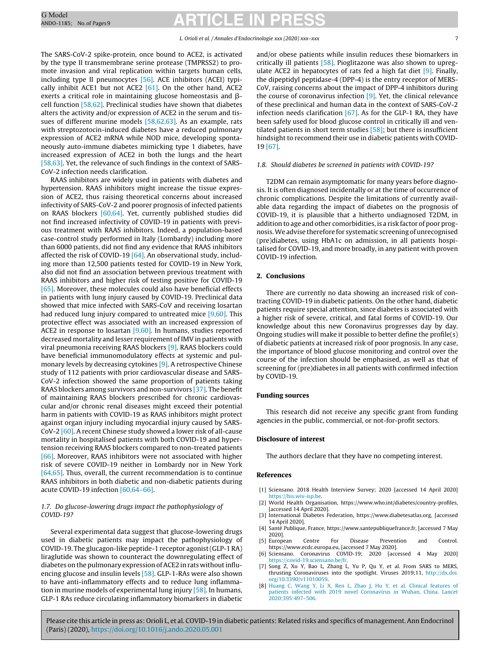<span id="page-6-0"></span>The SARS-CoV-2 spike-protein, once bound to ACE2, is activated by the type II transmembrane serine protease (TMPRSS2) to promote invasion and viral replication within targets human cells, including type II pneumocytes [\[56\].](#page-7-0) ACE inhibitors (ACEI) typically inhibit ACE1 but not ACE2 [\[61\].](#page-7-0) On the other hand, ACE2 exerts a critical role in maintaining glucose homeostasis and  $\beta$ cell function [\[58,62\].](#page-7-0) Preclinical studies have shown that diabetes alters the activity and/or expression of ACE2 in the serum and tissues of different murine models [\[58,62,63\].](#page-7-0) As an example, rats with streptozotocin-induced diabetes have a reduced pulmonary expression of ACE2 mRNA while NOD mice, developing spontaneously auto-immune diabetes mimicking type 1 diabetes, have increased expression of ACE2 in both the lungs and the heart [\[58,63\].](#page-7-0) Yet, the relevance of such findings in the context of SARS-CoV-2 infection needs clarification.

RAAS inhibitors are widely used in patients with diabetes and hypertension. RAAS inhibitors might increase the tissue expression of ACE2, thus raising theoretical concerns about increased infectivity of SARS-CoV-2 and poorer prognosis of infected patients on RAAS blockers [\[60,64\].](#page-7-0) Yet, currently published studies did not find increased infectivity of COVID-19 in patients with previous treatment with RAAS inhibitors. Indeed, a population-based case-control study performed in Italy (Lombardy) including more than 6000 patients, did not find any evidence that RAAS inhibitors affected the risk of COVID-19 [\[64\].](#page-8-0) An observational study, including more than 12,500 patients tested for COVID-19 in New York, also did not find an association between previous treatment with RAAS inhibitors and higher risk of testing positive for COVID-19 [\[65\].](#page-8-0) Moreover, these molecules could also have beneficial effects in patients with lung injury caused by COVID-19. Preclinical data showed that mice infected with SARS-CoV and receiving losartan had reduced lung injury compared to untreated mice [\[9,60\].](#page-7-0) This protective effect was associated with an increased expression of ACE2 in response to losartan [\[9,60\].](#page-7-0) In humans, studies reported decreased mortality and lesser requirement of IMV in patients with viral pneumonia receiving RAAS blockers [\[9\].](#page-7-0) RAAS blockers could have beneficial immunomodulatory effects at systemic and pulmonary levels by decreasing cytokines [\[9\].](#page-7-0) A retrospective Chinese study of 112 patients with prior cardiovascular disease and SARS-CoV-2 infection showed the same proportion of patients taking RAAS blockers among survivors and non-survivors [\[37\].](#page-7-0) The benefit of maintaining RAAS blockers prescribed for chronic cardiovascular and/or chronic renal diseases might exceed their potential harm in patients with COVID-19 as RAAS inhibitors might protect against organ injury including myocardial injury caused by SARS-CoV-2 [\[60\].](#page-7-0) A recent Chinese study showed a lower risk of all-cause mortality in hospitalised patients with both COVID-19 and hypertension receiving RAAS blockers compared to non-treated patients [\[66\].](#page-8-0) Moreover, RAAS inhibitors were not associated with higher risk of severe COVID-19 neither in Lombardy nor in New York [\[64,65\].](#page-8-0) Thus, overall, the current recommendation is to continue RAAS inhibitors in both diabetic and non-diabetic patients during acute COVID-19 infection [\[60,64–66\].](#page-7-0)

#### 1.7. Do glucose-lowering drugs impact the pathophysiology of COVID-19?

Several experimental data suggest that glucose-lowering drugs used in diabetic patients may impact the pathophysiology of COVID-19. The glucagon-like peptide-1 receptor agonist(GLP-1RA) liraglutide was shown to counteract the downregulating effect of diabetes on the pulmonary expression of ACE2 in rats without influencing glucose and insulin levels [\[58\].](#page-7-0) GLP-1-RAs were also shown to have anti-inflammatory effects and to reduce lung inflammation in murine models of experimental lung injury [\[58\].](#page-7-0) In humans, GLP-1 RAs reduce circulating inflammatory biomarkers in diabetic

and/or obese patients while insulin reduces these biomarkers in critically ill patients [\[58\].](#page-7-0) Pioglitazone was also shown to upregulate ACE2 in hepatocytes of rats fed a high fat diet [\[9\].](#page-7-0) Finally, the dipeptidyl peptidase-4 (DPP-4) is the entry receptor of MERS-CoV, raising concerns about the impact of DPP-4 inhibitors during the course of coronavirus infection [\[9\].](#page-7-0) Yet, the clinical relevance of these preclinical and human data in the context of SARS-CoV-2 infection needs clarification [\[67\].](#page-8-0) As for the GLP-1 RA, they have been safely used for blood glucose control in critically ill and ventilated patients in short term studies  $[58]$ ; but there is insufficient hindsight to recommend their use in diabetic patients with COVID-19 [\[67\].](#page-8-0)

#### 1.8. Should diabetes be screened in patients with COVID-19?

T2DM can remain asymptomatic for many years before diagnosis. It is often diagnosed incidentally or at the time of occurrence of chronic complications. Despite the limitations of currently available data regarding the impact of diabetes on the prognosis of COVID-19, it is plausible that a hitherto undiagnosed T2DM, in addition to age and other comorbidities, is a risk factor of poor prognosis. We advise therefore for systematic screening of unrecognised (pre)diabetes, using HbA1c on admission, in all patients hospitalised for COVID-19, and more broadly, in any patient with proven COVID-19 infection.

### **2. Conclusions**

There are currently no data showing an increased risk of contracting COVID-19 in diabetic patients. On the other hand, diabetic patients require special attention, since diabetes is associated with a higher risk of severe, critical, and fatal forms of COVID-19. Our knowledge about this new Coronavirus progresses day by day. Ongoing studies will make it possible to better define the profile(s) of diabetic patients at increased risk of poor prognosis. In any case, the importance of blood glucose monitoring and control over the course of the infection should be emphasised, as well as that of screening for (pre)diabetes in all patients with confirmed infection by COVID-19.

#### **Funding sources**

This research did not receive any specific grant from funding agencies in the public, commercial, or not-for-profit sectors.

#### **Disclosure of interest**

The authors declare that they have no competing interest.

#### **References**

- [1] Sciensano. 2018 Health Interview Survey; 2020 [accessed 14 April 2020] [https://his.wiv-isp.be.](https://his.wiv-isp.be/)
- [2] World Health Organisation, https://www.who.int/diabetes/country-profiles, [accessed 14 April 2020].
- [3] International Diabetes Federation, https://www.diabetesatlas.org, [accessed 14 April 2020].
- [4] Santé Publique, France, https://www.santepubliquefrance.fr, [accessed 7 May 2020].
- [5] European Centre For Disease Prevention and Control. https://www.ecdc.europa.eu, [accessed 7 May 2020].
- [6] Sciensano. Coronavirus COVID-19; 2020 [accessed 4 May 2020] [https://covid-19.sciensano.be/fr.](https://covid-19.sciensano.be/fr)
- [7] Song Z, Xu Y, Bao L, Zhang L, Yu P, Qu Y, et al. From SARS to MERS, thrusting Coronaviruses into the spotlight. Viruses 2019;11, [http://dx.doi.](dx.doi.org/10.3390/v11010059) [org/10.3390/v11010059.](dx.doi.org/10.3390/v11010059)
- [8] [Huang](http://refhub.elsevier.com/S0003-4266(20)30068-8/sbref0375) [C,](http://refhub.elsevier.com/S0003-4266(20)30068-8/sbref0375) [Wang](http://refhub.elsevier.com/S0003-4266(20)30068-8/sbref0375) [Y,](http://refhub.elsevier.com/S0003-4266(20)30068-8/sbref0375) [Li](http://refhub.elsevier.com/S0003-4266(20)30068-8/sbref0375) [X,](http://refhub.elsevier.com/S0003-4266(20)30068-8/sbref0375) [Ren](http://refhub.elsevier.com/S0003-4266(20)30068-8/sbref0375) [L,](http://refhub.elsevier.com/S0003-4266(20)30068-8/sbref0375) [Zhao](http://refhub.elsevier.com/S0003-4266(20)30068-8/sbref0375) [J,](http://refhub.elsevier.com/S0003-4266(20)30068-8/sbref0375) [Hu](http://refhub.elsevier.com/S0003-4266(20)30068-8/sbref0375) Y, [et](http://refhub.elsevier.com/S0003-4266(20)30068-8/sbref0375) [al.](http://refhub.elsevier.com/S0003-4266(20)30068-8/sbref0375) [Clinical](http://refhub.elsevier.com/S0003-4266(20)30068-8/sbref0375) [features](http://refhub.elsevier.com/S0003-4266(20)30068-8/sbref0375) [of](http://refhub.elsevier.com/S0003-4266(20)30068-8/sbref0375) [patients](http://refhub.elsevier.com/S0003-4266(20)30068-8/sbref0375) [infected](http://refhub.elsevier.com/S0003-4266(20)30068-8/sbref0375) [with](http://refhub.elsevier.com/S0003-4266(20)30068-8/sbref0375) [2019](http://refhub.elsevier.com/S0003-4266(20)30068-8/sbref0375) [novel](http://refhub.elsevier.com/S0003-4266(20)30068-8/sbref0375) [Coronavirus](http://refhub.elsevier.com/S0003-4266(20)30068-8/sbref0375) [in](http://refhub.elsevier.com/S0003-4266(20)30068-8/sbref0375) [Wuhan,](http://refhub.elsevier.com/S0003-4266(20)30068-8/sbref0375) [China.](http://refhub.elsevier.com/S0003-4266(20)30068-8/sbref0375) [Lancet](http://refhub.elsevier.com/S0003-4266(20)30068-8/sbref0375) [2020;395:497](http://refhub.elsevier.com/S0003-4266(20)30068-8/sbref0375)–[506.](http://refhub.elsevier.com/S0003-4266(20)30068-8/sbref0375)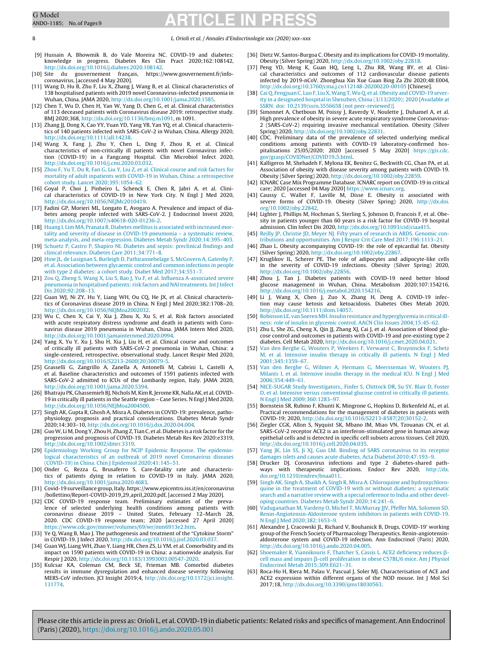<span id="page-7-0"></span>8 L. Orioli et al. / Annales d'Endocrinologie xxx (2020) xxx–xxx

- [9] Hussain A, Bhowmik B, do Vale Moreira NC. COVID-19 and diabetes: knowledge in progress. Diabetes Res Clin Pract 2020;162:108142, [http://dx.doi.org/10.1016/j.diabres.2020.108142](dx.doi.org/10.1016/j.diabres.2020.108142).
- $[10]$  Site du gouvernement français, https://www.gouvernement.fr/info coronavirus, [accessed 4 May 2020].
- [11] Wang D, Hu B, Zhu F, Liu X, Zhang J, Wang B, et al. Clinical characteristics of 138 hospitalised patients with 2019 novel Coronavirus-infected pneumonia in Wuhan, China. JAMA 2020, [http://dx.doi.org/10.1001/jama.2020.1585.](dx.doi.org/10.1001/jama.2020.1585)
- [12] Chen T, Wu D, Chen H, Yan W, Yang D, Chen G, et al. Clinical characteristics of 113 deceased patients with Coronavirus disease 2019: retrospective study. BMJ 2020;368, [http://dx.doi.org/10.1136/bmj.m1091](dx.doi.org/10.1136/bmj.m1091), m 1091.
- [13] Zhang JJ, Dong X, Cao YY, Yuan YD, Yang YB, Yan YQ, et al. Clinical characteristics of 140 patients infected with SARS-CoV-2 in Wuhan, China. Allergy 2020, [http://dx.doi.org/10.1111/all.14238.](dx.doi.org/10.1111/all.14238)
- [14] Wang X, Fang J, Zhu Y, Chen L, Ding F, Zhou R, et al. Clinical characteristics of non-critically ill patients with novel Coronavirus infection (COVID-19) in a Fangcang Hospital. Clin Microbiol Infect 2020, [http://dx.doi.org/10.1016/j.cmi.2020.03.032.](dx.doi.org/10.1016/j.cmi.2020.03.032)
- [15] [Zhou](http://refhub.elsevier.com/S0003-4266(20)30068-8/sbref0410) [F,](http://refhub.elsevier.com/S0003-4266(20)30068-8/sbref0410) [Yu](http://refhub.elsevier.com/S0003-4266(20)30068-8/sbref0410) [T,](http://refhub.elsevier.com/S0003-4266(20)30068-8/sbref0410) [Du](http://refhub.elsevier.com/S0003-4266(20)30068-8/sbref0410) [R,](http://refhub.elsevier.com/S0003-4266(20)30068-8/sbref0410) [Fan](http://refhub.elsevier.com/S0003-4266(20)30068-8/sbref0410) [G,](http://refhub.elsevier.com/S0003-4266(20)30068-8/sbref0410) [Liu](http://refhub.elsevier.com/S0003-4266(20)30068-8/sbref0410) [Y,](http://refhub.elsevier.com/S0003-4266(20)30068-8/sbref0410) [Liu](http://refhub.elsevier.com/S0003-4266(20)30068-8/sbref0410) [Z,](http://refhub.elsevier.com/S0003-4266(20)30068-8/sbref0410) [et](http://refhub.elsevier.com/S0003-4266(20)30068-8/sbref0410) [al.](http://refhub.elsevier.com/S0003-4266(20)30068-8/sbref0410) [Clinical](http://refhub.elsevier.com/S0003-4266(20)30068-8/sbref0410) [course](http://refhub.elsevier.com/S0003-4266(20)30068-8/sbref0410) [and](http://refhub.elsevier.com/S0003-4266(20)30068-8/sbref0410) [risk](http://refhub.elsevier.com/S0003-4266(20)30068-8/sbref0410) [factors](http://refhub.elsevier.com/S0003-4266(20)30068-8/sbref0410) [for](http://refhub.elsevier.com/S0003-4266(20)30068-8/sbref0410) [mortality](http://refhub.elsevier.com/S0003-4266(20)30068-8/sbref0410) [of](http://refhub.elsevier.com/S0003-4266(20)30068-8/sbref0410) [adult](http://refhub.elsevier.com/S0003-4266(20)30068-8/sbref0410) [inpatients](http://refhub.elsevier.com/S0003-4266(20)30068-8/sbref0410) [with](http://refhub.elsevier.com/S0003-4266(20)30068-8/sbref0410) [COVID-19](http://refhub.elsevier.com/S0003-4266(20)30068-8/sbref0410) [in](http://refhub.elsevier.com/S0003-4266(20)30068-8/sbref0410) [Wuhan,](http://refhub.elsevier.com/S0003-4266(20)30068-8/sbref0410) [China:](http://refhub.elsevier.com/S0003-4266(20)30068-8/sbref0410) [a](http://refhub.elsevier.com/S0003-4266(20)30068-8/sbref0410) [retrospective](http://refhub.elsevier.com/S0003-4266(20)30068-8/sbref0410) [cohort](http://refhub.elsevier.com/S0003-4266(20)30068-8/sbref0410) [study.](http://refhub.elsevier.com/S0003-4266(20)30068-8/sbref0410) [Lancet](http://refhub.elsevier.com/S0003-4266(20)30068-8/sbref0410) [2020;395:1054–62.](http://refhub.elsevier.com/S0003-4266(20)30068-8/sbref0410)
- [16] Goyal P, Choi J, Pinheiro L, Schenck E, Chen R, Jabri A, et al. Clinical characteristics of COVID-19 in New York City. N Engl J Med 2020, [http://dx.doi.org/10.1056/NEJMc2010419.](dx.doi.org/10.1056/NEJMc2010419)
- [17] Fadini GP, Morieri ML, Longato E, Avogaro A. Prevalence and impact of diabetes among people infected with SARS-CoV-2. J Endocrinol Invest 2020, [http://dx.doi.org/10.1007/s40618-020-01236-2](dx.doi.org/10.1007/s40618-020-01236-2).
- [18] [Huang](http://refhub.elsevier.com/S0003-4266(20)30068-8/sbref0425) [I,](http://refhub.elsevier.com/S0003-4266(20)30068-8/sbref0425) [Lim](http://refhub.elsevier.com/S0003-4266(20)30068-8/sbref0425) [MA,](http://refhub.elsevier.com/S0003-4266(20)30068-8/sbref0425) [Pranata](http://refhub.elsevier.com/S0003-4266(20)30068-8/sbref0425) [R.](http://refhub.elsevier.com/S0003-4266(20)30068-8/sbref0425) [Diabetes](http://refhub.elsevier.com/S0003-4266(20)30068-8/sbref0425) [mellitus](http://refhub.elsevier.com/S0003-4266(20)30068-8/sbref0425) [is](http://refhub.elsevier.com/S0003-4266(20)30068-8/sbref0425) [associated](http://refhub.elsevier.com/S0003-4266(20)30068-8/sbref0425) [with](http://refhub.elsevier.com/S0003-4266(20)30068-8/sbref0425) [increased](http://refhub.elsevier.com/S0003-4266(20)30068-8/sbref0425) [mor](http://refhub.elsevier.com/S0003-4266(20)30068-8/sbref0425)[tality](http://refhub.elsevier.com/S0003-4266(20)30068-8/sbref0425) [and](http://refhub.elsevier.com/S0003-4266(20)30068-8/sbref0425) [severity](http://refhub.elsevier.com/S0003-4266(20)30068-8/sbref0425) [of](http://refhub.elsevier.com/S0003-4266(20)30068-8/sbref0425) [disease](http://refhub.elsevier.com/S0003-4266(20)30068-8/sbref0425) [in](http://refhub.elsevier.com/S0003-4266(20)30068-8/sbref0425) [COVID-19](http://refhub.elsevier.com/S0003-4266(20)30068-8/sbref0425) [pneumonia](http://refhub.elsevier.com/S0003-4266(20)30068-8/sbref0425) – [a](http://refhub.elsevier.com/S0003-4266(20)30068-8/sbref0425) [systematic](http://refhub.elsevier.com/S0003-4266(20)30068-8/sbref0425) [review,](http://refhub.elsevier.com/S0003-4266(20)30068-8/sbref0425) [meta-analysis,](http://refhub.elsevier.com/S0003-4266(20)30068-8/sbref0425) [and](http://refhub.elsevier.com/S0003-4266(20)30068-8/sbref0425) [meta-regression.](http://refhub.elsevier.com/S0003-4266(20)30068-8/sbref0425) [Diabetes](http://refhub.elsevier.com/S0003-4266(20)30068-8/sbref0425) [Metab](http://refhub.elsevier.com/S0003-4266(20)30068-8/sbref0425) [Syndr](http://refhub.elsevier.com/S0003-4266(20)30068-8/sbref0425) [2020;14:395](http://refhub.elsevier.com/S0003-4266(20)30068-8/sbref0425)–[403.](http://refhub.elsevier.com/S0003-4266(20)30068-8/sbref0425)
- [19] [Schuetz](http://refhub.elsevier.com/S0003-4266(20)30068-8/sbref0430) [P,](http://refhub.elsevier.com/S0003-4266(20)30068-8/sbref0430) [Castro](http://refhub.elsevier.com/S0003-4266(20)30068-8/sbref0430) P, [Shapiro](http://refhub.elsevier.com/S0003-4266(20)30068-8/sbref0430) [NI.](http://refhub.elsevier.com/S0003-4266(20)30068-8/sbref0430) [Diabetes](http://refhub.elsevier.com/S0003-4266(20)30068-8/sbref0430) [and](http://refhub.elsevier.com/S0003-4266(20)30068-8/sbref0430) [sepsis:](http://refhub.elsevier.com/S0003-4266(20)30068-8/sbref0430) [preclinical](http://refhub.elsevier.com/S0003-4266(20)30068-8/sbref0430) [findings](http://refhub.elsevier.com/S0003-4266(20)30068-8/sbref0430) and [clinical](http://refhub.elsevier.com/S0003-4266(20)30068-8/sbref0430) [relevance.](http://refhub.elsevier.com/S0003-4266(20)30068-8/sbref0430) [Diabetes](http://refhub.elsevier.com/S0003-4266(20)30068-8/sbref0430) [Care](http://refhub.elsevier.com/S0003-4266(20)30068-8/sbref0430) [2011;34:771](http://refhub.elsevier.com/S0003-4266(20)30068-8/sbref0430)–[8.](http://refhub.elsevier.com/S0003-4266(20)30068-8/sbref0430)
- [20] [Hine](http://refhub.elsevier.com/S0003-4266(20)30068-8/sbref0435) [JL,](http://refhub.elsevier.com/S0003-4266(20)30068-8/sbref0435) [de](http://refhub.elsevier.com/S0003-4266(20)30068-8/sbref0435) [Lusignan](http://refhub.elsevier.com/S0003-4266(20)30068-8/sbref0435) [S,](http://refhub.elsevier.com/S0003-4266(20)30068-8/sbref0435) [Burleigh](http://refhub.elsevier.com/S0003-4266(20)30068-8/sbref0435) [D,](http://refhub.elsevier.com/S0003-4266(20)30068-8/sbref0435) [Pathirannehelage](http://refhub.elsevier.com/S0003-4266(20)30068-8/sbref0435) S, [McGovern](http://refhub.elsevier.com/S0003-4266(20)30068-8/sbref0435) [A,](http://refhub.elsevier.com/S0003-4266(20)30068-8/sbref0435) [Gatenby](http://refhub.elsevier.com/S0003-4266(20)30068-8/sbref0435) [P,](http://refhub.elsevier.com/S0003-4266(20)30068-8/sbref0435) [et](http://refhub.elsevier.com/S0003-4266(20)30068-8/sbref0435) [al.](http://refhub.elsevier.com/S0003-4266(20)30068-8/sbref0435) [Association](http://refhub.elsevier.com/S0003-4266(20)30068-8/sbref0435) [between](http://refhub.elsevier.com/S0003-4266(20)30068-8/sbref0435) [glycaemic](http://refhub.elsevier.com/S0003-4266(20)30068-8/sbref0435) [control](http://refhub.elsevier.com/S0003-4266(20)30068-8/sbref0435) [and](http://refhub.elsevier.com/S0003-4266(20)30068-8/sbref0435) [common](http://refhub.elsevier.com/S0003-4266(20)30068-8/sbref0435) [infections](http://refhub.elsevier.com/S0003-4266(20)30068-8/sbref0435) [in](http://refhub.elsevier.com/S0003-4266(20)30068-8/sbref0435) [people](http://refhub.elsevier.com/S0003-4266(20)30068-8/sbref0435)
- [with](http://refhub.elsevier.com/S0003-4266(20)30068-8/sbref0435) [type](http://refhub.elsevier.com/S0003-4266(20)30068-8/sbref0435) [2](http://refhub.elsevier.com/S0003-4266(20)30068-8/sbref0435) [diabetes:](http://refhub.elsevier.com/S0003-4266(20)30068-8/sbref0435) [a](http://refhub.elsevier.com/S0003-4266(20)30068-8/sbref0435) [cohort](http://refhub.elsevier.com/S0003-4266(20)30068-8/sbref0435) [study.](http://refhub.elsevier.com/S0003-4266(20)30068-8/sbref0435) [Diabet](http://refhub.elsevier.com/S0003-4266(20)30068-8/sbref0435) [Med](http://refhub.elsevier.com/S0003-4266(20)30068-8/sbref0435) [2017;34:551](http://refhub.elsevier.com/S0003-4266(20)30068-8/sbref0435)–[7.](http://refhub.elsevier.com/S0003-4266(20)30068-8/sbref0435) [21] [Zou](http://refhub.elsevier.com/S0003-4266(20)30068-8/sbref0440) [Q,](http://refhub.elsevier.com/S0003-4266(20)30068-8/sbref0440) [Zheng](http://refhub.elsevier.com/S0003-4266(20)30068-8/sbref0440) [S,](http://refhub.elsevier.com/S0003-4266(20)30068-8/sbref0440) [Wang](http://refhub.elsevier.com/S0003-4266(20)30068-8/sbref0440) [X,](http://refhub.elsevier.com/S0003-4266(20)30068-8/sbref0440) [Liu](http://refhub.elsevier.com/S0003-4266(20)30068-8/sbref0440) [S,](http://refhub.elsevier.com/S0003-4266(20)30068-8/sbref0440) [Bao](http://refhub.elsevier.com/S0003-4266(20)30068-8/sbref0440) [J,](http://refhub.elsevier.com/S0003-4266(20)30068-8/sbref0440) [Yu](http://refhub.elsevier.com/S0003-4266(20)30068-8/sbref0440) [F,](http://refhub.elsevier.com/S0003-4266(20)30068-8/sbref0440) [et](http://refhub.elsevier.com/S0003-4266(20)30068-8/sbref0440) [al.](http://refhub.elsevier.com/S0003-4266(20)30068-8/sbref0440) [Influenza](http://refhub.elsevier.com/S0003-4266(20)30068-8/sbref0440) [A-associated](http://refhub.elsevier.com/S0003-4266(20)30068-8/sbref0440) [severe](http://refhub.elsevier.com/S0003-4266(20)30068-8/sbref0440) [pneumonia](http://refhub.elsevier.com/S0003-4266(20)30068-8/sbref0440) [in](http://refhub.elsevier.com/S0003-4266(20)30068-8/sbref0440) [hospitalised](http://refhub.elsevier.com/S0003-4266(20)30068-8/sbref0440) [patients:](http://refhub.elsevier.com/S0003-4266(20)30068-8/sbref0440) [risk](http://refhub.elsevier.com/S0003-4266(20)30068-8/sbref0440) [factors](http://refhub.elsevier.com/S0003-4266(20)30068-8/sbref0440) [and](http://refhub.elsevier.com/S0003-4266(20)30068-8/sbref0440) NAI treatments. Int J [Infect](http://refhub.elsevier.com/S0003-4266(20)30068-8/sbref0440) [Dis](http://refhub.elsevier.com/S0003-4266(20)30068-8/sbref0440) [2020;92:208](http://refhub.elsevier.com/S0003-4266(20)30068-8/sbref0440)–[13.](http://refhub.elsevier.com/S0003-4266(20)30068-8/sbref0440)
- [22] Guan WJ, Ni ZY, Hu Y, Liang WH, Ou CQ, He JX, et al. Clinical characteristics of Coronavirus disease 2019 in China. N Engl J Med 2020;382:1708–20, [http://dx.doi.org/10.1056/NEJMoa2002032.](dx.doi.org/10.1056/NEJMoa2002032)
- [23] Wu C, Chen X, Cai Y, Xia J, Zhou X, Xu S, et al. Risk factors associated with acute respiratory distress syndrome and death in patients with Coronavirus disease 2019 pneumonia in Wuhan, China. JAMA Intern Med 2020, [http://dx.doi.org/10.1001/jamainternmed.2020.0994.](dx.doi.org/10.1001/jamainternmed.2020.0994)
- [24] Yang X, Yu Y, Xu J, Shu H, Xia J, Liu H, et al. Clinical course and outcomes of critically ill patients with SARS-CoV-2 pneumonia in Wuhan, China: a single-centered, retrospective, observational study. Lancet Respir Med 2020, http://dx.doi.org/10.1016/S2213-2600(20)30079-5
- [25] Grasselli G, Zangrillo A, Zanella A, Antonelli M, Cabrini L, Castelli A, et al. Baseline characteristics and outcomes of 1591 patients infected with SARS-CoV-2 admitted to ICUs of the Lombardy region, Italy. JAMA 2020, [http://dx.doi.org/10.1001/jama.2020.5394](dx.doi.org/10.1001/jama.2020.5394).
- [26] Bhatraju PK, Ghassemieh BJ, Nichols M, Kim R, Jerome KR, Nalla AK, et al. COVID-19 in critically ill patients in the Seattle region – Case Series. N Engl J Med 2020, [http://dx.doi.org/10.1056/NEJMoa2004500.](dx.doi.org/10.1056/NEJMoa2004500)
- [27] Singh AK, Gupta R, Ghosh A, Misra A. Diabetes in COVID-19: prevalence, pathophysiology, prognosis and practical considerations. Diabetes Metab Syndr 2020;14:303–10, [http://dx.doi.org/10.1016/j.dsx.2020.04.004.](dx.doi.org/10.1016/j.dsx.2020.04.004)
- [28] GuoW, LiM, DongY, Zhou H, Zhang Z, Tian C, et al. Diabetes is a risk factor for the progression and prognosis of COVID-19. Diabetes Metab Res Rev 2020:e3319, [http://dx.doi.org/10.1002/dmrr.3319](dx.doi.org/10.1002/dmrr.3319).
- [29] [Epidemiology](http://refhub.elsevier.com/S0003-4266(20)30068-8/sbref0480) [Working](http://refhub.elsevier.com/S0003-4266(20)30068-8/sbref0480) [Group](http://refhub.elsevier.com/S0003-4266(20)30068-8/sbref0480) [for](http://refhub.elsevier.com/S0003-4266(20)30068-8/sbref0480) [NCIP](http://refhub.elsevier.com/S0003-4266(20)30068-8/sbref0480) [Epidemic](http://refhub.elsevier.com/S0003-4266(20)30068-8/sbref0480) [Response.](http://refhub.elsevier.com/S0003-4266(20)30068-8/sbref0480) [The](http://refhub.elsevier.com/S0003-4266(20)30068-8/sbref0480) [epidemio](http://refhub.elsevier.com/S0003-4266(20)30068-8/sbref0480)[logical](http://refhub.elsevier.com/S0003-4266(20)30068-8/sbref0480) [characteristics](http://refhub.elsevier.com/S0003-4266(20)30068-8/sbref0480) [of](http://refhub.elsevier.com/S0003-4266(20)30068-8/sbref0480) [an](http://refhub.elsevier.com/S0003-4266(20)30068-8/sbref0480) [outbreak](http://refhub.elsevier.com/S0003-4266(20)30068-8/sbref0480) [of](http://refhub.elsevier.com/S0003-4266(20)30068-8/sbref0480) [2019](http://refhub.elsevier.com/S0003-4266(20)30068-8/sbref0480) [novel](http://refhub.elsevier.com/S0003-4266(20)30068-8/sbref0480) [Coronavirus](http://refhub.elsevier.com/S0003-4266(20)30068-8/sbref0480) [diseases](http://refhub.elsevier.com/S0003-4266(20)30068-8/sbref0480) [\(COVID-19\)](http://refhub.elsevier.com/S0003-4266(20)30068-8/sbref0480) [in](http://refhub.elsevier.com/S0003-4266(20)30068-8/sbref0480) [China.](http://refhub.elsevier.com/S0003-4266(20)30068-8/sbref0480) [Chin](http://refhub.elsevier.com/S0003-4266(20)30068-8/sbref0480) [J](http://refhub.elsevier.com/S0003-4266(20)30068-8/sbref0480) [Epidemiol](http://refhub.elsevier.com/S0003-4266(20)30068-8/sbref0480) [2020;41:145](http://refhub.elsevier.com/S0003-4266(20)30068-8/sbref0480)–[51.](http://refhub.elsevier.com/S0003-4266(20)30068-8/sbref0480)
- [30] Onder G, Rezza G, Brusaferro S. Care-fatality rate and characteristics of patients dying in relation to COVID-19 in Italy. JAMA 2020, [http://dx.doi.org/10.1001/jama.2020.4683](dx.doi.org/10.1001/jama.2020.4683).
- [31] Covid-19surveillance group,Italy.https://www.epicentro.iss.it/en/coronavirus /bollettino/Report-COVID-2019 29 april 2020.pdf, [accessed 2 May 2020].
- [32] CDC COVID-19 response team. Preliminary estimates of the prevalence of selected underlying health conditions among patients with coronavirus disease 2019 – United States, February 12–March 28, 2020. CDC COVID-19 response team; 2020 [accessed 27 April 2020] [https://www.cdc.gov/mmwr/volumes/69/wr/mm6913e2.htm.](https://www.cdc.gov/mmwr/volumes/69/wr/mm6913e2.htm)
- [33] Ye Q, Wang B, Mao J. The pathogenesis and treatment of the "Cytokine Storm" in COVID-19. J Infect 2020, [http://dx.doi.org/10.1016/j.jinf.2020.03.037](dx.doi.org/10.1016/j.jinf.2020.03.037).
- [34] Guan WJ, Liang WH, Zhao Y, Liang HR, Chen ZS, Li YM, et al. Comorbidity and its impact on 1590 patients with COVID-19 in China: a nationwide analysis. Eur Respir J 2020, [http://dx.doi.org/10.1183/13993003.00547-2020](dx.doi.org/10.1183/13993003.00547-2020).
- [35] Kulcsar KA, Coleman CM, Beck SE, Frieman MB. Comorbid diabetes results in immune dysregulation and enhanced disease severity following MERS-CoV infection. JCI Insight 2019;4, [http://dx.doi.org/10.1172/jci.insight.](dx.doi.org/10.1172/jci.insight.131774) [131774](dx.doi.org/10.1172/jci.insight.131774).
- [36] Dietz W, Santos-Burgoa C. Obesity and its implications for COVID-19 mortality. Obesity (Silver Spring) 2020, [http://dx.doi.org/10.1002/oby.22818.](dx.doi.org/10.1002/oby.22818)
- [37] Peng YD, Meng K, Guan HQ, Leng L, Zhu RR, Wang BY, et al. Clinical characteristics and outcomes of 112 cardiovascular disease patients infected by 2019-nCoV. Zhonghua Xin Xue Guan Bing Za Zhi 2020;48:E004, [http://dx.doi.org/10.3760/cma.j.cn112148-20200220-00105](dx.doi.org/10.3760/cma.j.cn112148-20200220-00105) [Chinese].
- [38] [Cai](http://refhub.elsevier.com/S0003-4266(20)30068-8/sbref0525) [Q,](http://refhub.elsevier.com/S0003-4266(20)30068-8/sbref0525) [Fengjuan](http://refhub.elsevier.com/S0003-4266(20)30068-8/sbref0525) [C,](http://refhub.elsevier.com/S0003-4266(20)30068-8/sbref0525) [Luo](http://refhub.elsevier.com/S0003-4266(20)30068-8/sbref0525) [F,](http://refhub.elsevier.com/S0003-4266(20)30068-8/sbref0525) [LiuX,Wang](http://refhub.elsevier.com/S0003-4266(20)30068-8/sbref0525) [T,Wu](http://refhub.elsevier.com/S0003-4266(20)30068-8/sbref0525) [Q,](http://refhub.elsevier.com/S0003-4266(20)30068-8/sbref0525) [et](http://refhub.elsevier.com/S0003-4266(20)30068-8/sbref0525) [al.](http://refhub.elsevier.com/S0003-4266(20)30068-8/sbref0525) [Obesity](http://refhub.elsevier.com/S0003-4266(20)30068-8/sbref0525) [and](http://refhub.elsevier.com/S0003-4266(20)30068-8/sbref0525) [COVID-19](http://refhub.elsevier.com/S0003-4266(20)30068-8/sbref0525) [sever](http://refhub.elsevier.com/S0003-4266(20)30068-8/sbref0525)[ity](http://refhub.elsevier.com/S0003-4266(20)30068-8/sbref0525) [in](http://refhub.elsevier.com/S0003-4266(20)30068-8/sbref0525) [a](http://refhub.elsevier.com/S0003-4266(20)30068-8/sbref0525) [designated](http://refhub.elsevier.com/S0003-4266(20)30068-8/sbref0525) [hospital](http://refhub.elsevier.com/S0003-4266(20)30068-8/sbref0525) [in](http://refhub.elsevier.com/S0003-4266(20)30068-8/sbref0525) [Shenzhen,](http://refhub.elsevier.com/S0003-4266(20)30068-8/sbref0525) [China](http://refhub.elsevier.com/S0003-4266(20)30068-8/sbref0525) [\(3/13/2020\);](http://refhub.elsevier.com/S0003-4266(20)30068-8/sbref0525) [2020](http://refhub.elsevier.com/S0003-4266(20)30068-8/sbref0525) [\[Available](http://refhub.elsevier.com/S0003-4266(20)30068-8/sbref0525) [at](http://refhub.elsevier.com/S0003-4266(20)30068-8/sbref0525) [SSRN:](http://refhub.elsevier.com/S0003-4266(20)30068-8/sbref0525) [doi:](http://refhub.elsevier.com/S0003-4266(20)30068-8/sbref0525) [10.2139/ssrn.3556658](http://refhub.elsevier.com/S0003-4266(20)30068-8/sbref0525) [\(not](http://refhub.elsevier.com/S0003-4266(20)30068-8/sbref0525) [peer-reviewed\)\].](http://refhub.elsevier.com/S0003-4266(20)30068-8/sbref0525)
- [39] Simonnet A, Chetboun M, Poissy J, Raverdy V, Noulette J, Duhamel A, et al. High prevalence of obesity in severe acute respiratory syndrome Coronavirus-2 (SARS-CoV-2) requiring invasive mechanical ventilation. Obesity (Silver Spring) 2020, [http://dx.doi.org/10.1002/oby.22831.](dx.doi.org/10.1002/oby.22831)
- [40] CDC. Preliminary data of the prevalence of selected underlying medical conditions among patients with COVID-19 laboratory-confirmed hospitalisations 25/05/2020; 2020 [accessed 5 May 2020] [https://gis.cdc.](https://gis.cdc.gov/grasp/COVIDNet/COVID19_5.html) .<br>[gov/grasp/COVIDNet/COVID19](https://gis.cdc.gov/grasp/COVIDNet/COVID19_5.html)\_5.html
- [41] Kalligeros M, Shehadeh F, Mylona EK, Benitez G, Beckwith CG, Chan PA, et al. Association of obesity with disease severity among patients with COVID-19. Obesity (Silver Spring) 2020, [http://dx.doi.org/10.1002/oby.22859.](dx.doi.org/10.1002/oby.22859)
- [42] ICNARC Case Mix Programme Database. ICNARC report on COVID-19 in critical care; 2020 [accessed 04 May 2020] [https://www.icnarc.org](https://www.icnarc.org/).
- [43] Caussy C, Wallet F, Laville M, Disse E. Obesity is associated with severe forms of COVID-19. Obesity (Silver Spring) 2020, [http://dx.doi.](dx.doi.org/10.1002/oby.22842) [org/10.1002/oby.22842.](dx.doi.org/10.1002/oby.22842)
- [44] Lighter J, Phillips M, Hochman S, Sterling S, Johnson D, Francois F, et al. Obesity in patients younger than 60 years is a risk factor for COVID-19 hospital admission. Clin Infect Dis 2020, [http://dx.doi.org/10.1093/cid/ciaa415](dx.doi.org/10.1093/cid/ciaa415).
- [45] [Reilly](http://refhub.elsevier.com/S0003-4266(20)30068-8/sbref0570) [JP,](http://refhub.elsevier.com/S0003-4266(20)30068-8/sbref0570) [Christie](http://refhub.elsevier.com/S0003-4266(20)30068-8/sbref0570) [JD,](http://refhub.elsevier.com/S0003-4266(20)30068-8/sbref0570) [Meyer](http://refhub.elsevier.com/S0003-4266(20)30068-8/sbref0570) [NJ.](http://refhub.elsevier.com/S0003-4266(20)30068-8/sbref0570) [Fifty](http://refhub.elsevier.com/S0003-4266(20)30068-8/sbref0570) [years](http://refhub.elsevier.com/S0003-4266(20)30068-8/sbref0570) [of](http://refhub.elsevier.com/S0003-4266(20)30068-8/sbref0570) [research](http://refhub.elsevier.com/S0003-4266(20)30068-8/sbref0570) [in](http://refhub.elsevier.com/S0003-4266(20)30068-8/sbref0570) [ARDS.](http://refhub.elsevier.com/S0003-4266(20)30068-8/sbref0570) [Genomic](http://refhub.elsevier.com/S0003-4266(20)30068-8/sbref0570) [con](http://refhub.elsevier.com/S0003-4266(20)30068-8/sbref0570)[tributions](http://refhub.elsevier.com/S0003-4266(20)30068-8/sbref0570) [and](http://refhub.elsevier.com/S0003-4266(20)30068-8/sbref0570) [opportunities.](http://refhub.elsevier.com/S0003-4266(20)30068-8/sbref0570) [Am](http://refhub.elsevier.com/S0003-4266(20)30068-8/sbref0570) [J](http://refhub.elsevier.com/S0003-4266(20)30068-8/sbref0570) [Respir](http://refhub.elsevier.com/S0003-4266(20)30068-8/sbref0570) [Crit](http://refhub.elsevier.com/S0003-4266(20)30068-8/sbref0570) [Care](http://refhub.elsevier.com/S0003-4266(20)30068-8/sbref0570) [Med](http://refhub.elsevier.com/S0003-4266(20)30068-8/sbref0570) [2017;196:1113–21.](http://refhub.elsevier.com/S0003-4266(20)30068-8/sbref0570)
- [46] Zhao L. Obesity accompanying COVID-19: the role of epicardial fat. Obesity (Silver Spring) 2020, [http://dx.doi.org/10.1002/oby.22867.](dx.doi.org/10.1002/oby.22867) [47] Kruglikov IL, Scherer PE. The role of adipocytes and adipocyte-like cells
- in the severity of COVID-19 infections. Obesity (Silver Spring) 2020, [http://dx.doi.org/10.1002/oby.22856](dx.doi.org/10.1002/oby.22856).
- [48] Zhou J, Tan J. Diabetes patients with COVID-19 need better blood glucose management in Wuhan, China. Metabolism 2020;107:154216,
- [http://dx.doi.org/10.1016/j.metabol.2020.154216](dx.doi.org/10.1016/j.metabol.2020.154216). [49] Li J, Wang X, Chen J, Zuo X, Zhang H, Deng A. COVID-19 infection may cause ketosis and ketoacidosis. Diabetes Obes Metab 2020, [http://dx.doi.org/10.1111/dom.14057.](dx.doi.org/10.1111/dom.14057)
- [50] [RobinsonLE,](http://refhub.elsevier.com/S0003-4266(20)30068-8/sbref0585) [vanSoerenMH.Insulinresistance](http://refhub.elsevier.com/S0003-4266(20)30068-8/sbref0585) [andhyperglycemia](http://refhub.elsevier.com/S0003-4266(20)30068-8/sbref0585) [incriticalill](http://refhub.elsevier.com/S0003-4266(20)30068-8/sbref0585)[ness:](http://refhub.elsevier.com/S0003-4266(20)30068-8/sbref0585) [role](http://refhub.elsevier.com/S0003-4266(20)30068-8/sbref0585) [of](http://refhub.elsevier.com/S0003-4266(20)30068-8/sbref0585) [insulin](http://refhub.elsevier.com/S0003-4266(20)30068-8/sbref0585) [in](http://refhub.elsevier.com/S0003-4266(20)30068-8/sbref0585) [glycemic](http://refhub.elsevier.com/S0003-4266(20)30068-8/sbref0585) [control.](http://refhub.elsevier.com/S0003-4266(20)30068-8/sbref0585) [AACN](http://refhub.elsevier.com/S0003-4266(20)30068-8/sbref0585) [Clin](http://refhub.elsevier.com/S0003-4266(20)30068-8/sbref0585) [Issues](http://refhub.elsevier.com/S0003-4266(20)30068-8/sbref0585) [2004;15:45–62.](http://refhub.elsevier.com/S0003-4266(20)30068-8/sbref0585)
- [51] Zhu L, She ZG, Cheng X, Qin JJ, Zhang XJ, Cai J, et al. Association of blood glu-cose control and outcomes in patients with COVID-19 and pre-existing type 2
- diabetes. Cell Metab 2020, [http://dx.doi.org/10.1016/j.cmet.2020.04.021.](dx.doi.org/10.1016/j.cmet.2020.04.021) [52] [Van](http://refhub.elsevier.com/S0003-4266(20)30068-8/sbref0595) [den](http://refhub.elsevier.com/S0003-4266(20)30068-8/sbref0595) [Berghe](http://refhub.elsevier.com/S0003-4266(20)30068-8/sbref0595) [G,](http://refhub.elsevier.com/S0003-4266(20)30068-8/sbref0595) [Wouters](http://refhub.elsevier.com/S0003-4266(20)30068-8/sbref0595) [P,](http://refhub.elsevier.com/S0003-4266(20)30068-8/sbref0595) [Weekers](http://refhub.elsevier.com/S0003-4266(20)30068-8/sbref0595) [F,](http://refhub.elsevier.com/S0003-4266(20)30068-8/sbref0595) [Verwaest](http://refhub.elsevier.com/S0003-4266(20)30068-8/sbref0595) [C,](http://refhub.elsevier.com/S0003-4266(20)30068-8/sbref0595) [Bruyninckx](http://refhub.elsevier.com/S0003-4266(20)30068-8/sbref0595) [F,](http://refhub.elsevier.com/S0003-4266(20)30068-8/sbref0595) [Schetz](http://refhub.elsevier.com/S0003-4266(20)30068-8/sbref0595) [M,](http://refhub.elsevier.com/S0003-4266(20)30068-8/sbref0595) [et](http://refhub.elsevier.com/S0003-4266(20)30068-8/sbref0595) [al.](http://refhub.elsevier.com/S0003-4266(20)30068-8/sbref0595) [Intensive](http://refhub.elsevier.com/S0003-4266(20)30068-8/sbref0595) [insulin](http://refhub.elsevier.com/S0003-4266(20)30068-8/sbref0595) [therapy](http://refhub.elsevier.com/S0003-4266(20)30068-8/sbref0595) [in](http://refhub.elsevier.com/S0003-4266(20)30068-8/sbref0595) [critically](http://refhub.elsevier.com/S0003-4266(20)30068-8/sbref0595) [ill](http://refhub.elsevier.com/S0003-4266(20)30068-8/sbref0595) [patients.](http://refhub.elsevier.com/S0003-4266(20)30068-8/sbref0595) [N](http://refhub.elsevier.com/S0003-4266(20)30068-8/sbref0595) [Engl](http://refhub.elsevier.com/S0003-4266(20)30068-8/sbref0595) [J](http://refhub.elsevier.com/S0003-4266(20)30068-8/sbref0595) [Med](http://refhub.elsevier.com/S0003-4266(20)30068-8/sbref0595) [2001;345:1359–67.](http://refhub.elsevier.com/S0003-4266(20)30068-8/sbref0595)
- [53] [Van](http://refhub.elsevier.com/S0003-4266(20)30068-8/sbref0600) [den](http://refhub.elsevier.com/S0003-4266(20)30068-8/sbref0600) [Berghe](http://refhub.elsevier.com/S0003-4266(20)30068-8/sbref0600) [G,](http://refhub.elsevier.com/S0003-4266(20)30068-8/sbref0600) [Wilmer](http://refhub.elsevier.com/S0003-4266(20)30068-8/sbref0600) [A,](http://refhub.elsevier.com/S0003-4266(20)30068-8/sbref0600) [Hermans](http://refhub.elsevier.com/S0003-4266(20)30068-8/sbref0600) [G,](http://refhub.elsevier.com/S0003-4266(20)30068-8/sbref0600) [Meersseman](http://refhub.elsevier.com/S0003-4266(20)30068-8/sbref0600) [W,](http://refhub.elsevier.com/S0003-4266(20)30068-8/sbref0600) [Wouters](http://refhub.elsevier.com/S0003-4266(20)30068-8/sbref0600) [PJ,](http://refhub.elsevier.com/S0003-4266(20)30068-8/sbref0600) [Milants](http://refhub.elsevier.com/S0003-4266(20)30068-8/sbref0600) [I,](http://refhub.elsevier.com/S0003-4266(20)30068-8/sbref0600) [et](http://refhub.elsevier.com/S0003-4266(20)30068-8/sbref0600) [al.](http://refhub.elsevier.com/S0003-4266(20)30068-8/sbref0600) [Intensive](http://refhub.elsevier.com/S0003-4266(20)30068-8/sbref0600) [insulin](http://refhub.elsevier.com/S0003-4266(20)30068-8/sbref0600) [therapy](http://refhub.elsevier.com/S0003-4266(20)30068-8/sbref0600) [in](http://refhub.elsevier.com/S0003-4266(20)30068-8/sbref0600) [the](http://refhub.elsevier.com/S0003-4266(20)30068-8/sbref0600) [medical](http://refhub.elsevier.com/S0003-4266(20)30068-8/sbref0600) [ICU.](http://refhub.elsevier.com/S0003-4266(20)30068-8/sbref0600) [N](http://refhub.elsevier.com/S0003-4266(20)30068-8/sbref0600) [Engl](http://refhub.elsevier.com/S0003-4266(20)30068-8/sbref0600) [J](http://refhub.elsevier.com/S0003-4266(20)30068-8/sbref0600) [Med](http://refhub.elsevier.com/S0003-4266(20)30068-8/sbref0600) [2006;354:449–61.](http://refhub.elsevier.com/S0003-4266(20)30068-8/sbref0600)
- [54] [NICE-SUGAR](http://refhub.elsevier.com/S0003-4266(20)30068-8/sbref0605) [Study](http://refhub.elsevier.com/S0003-4266(20)30068-8/sbref0605) [Investigators.,](http://refhub.elsevier.com/S0003-4266(20)30068-8/sbref0605) [Finfer](http://refhub.elsevier.com/S0003-4266(20)30068-8/sbref0605) [S,](http://refhub.elsevier.com/S0003-4266(20)30068-8/sbref0605) [Chittock](http://refhub.elsevier.com/S0003-4266(20)30068-8/sbref0605) [DR,](http://refhub.elsevier.com/S0003-4266(20)30068-8/sbref0605) [Su](http://refhub.elsevier.com/S0003-4266(20)30068-8/sbref0605) [SY,](http://refhub.elsevier.com/S0003-4266(20)30068-8/sbref0605) [Blair](http://refhub.elsevier.com/S0003-4266(20)30068-8/sbref0605) [D,](http://refhub.elsevier.com/S0003-4266(20)30068-8/sbref0605) [Foster](http://refhub.elsevier.com/S0003-4266(20)30068-8/sbref0605) [D,](http://refhub.elsevier.com/S0003-4266(20)30068-8/sbref0605) [et](http://refhub.elsevier.com/S0003-4266(20)30068-8/sbref0605) [al.](http://refhub.elsevier.com/S0003-4266(20)30068-8/sbref0605) [Intensive](http://refhub.elsevier.com/S0003-4266(20)30068-8/sbref0605) [versus](http://refhub.elsevier.com/S0003-4266(20)30068-8/sbref0605) [conventional](http://refhub.elsevier.com/S0003-4266(20)30068-8/sbref0605) [glucose](http://refhub.elsevier.com/S0003-4266(20)30068-8/sbref0605) [control](http://refhub.elsevier.com/S0003-4266(20)30068-8/sbref0605) [in](http://refhub.elsevier.com/S0003-4266(20)30068-8/sbref0605) [critically](http://refhub.elsevier.com/S0003-4266(20)30068-8/sbref0605) [ill](http://refhub.elsevier.com/S0003-4266(20)30068-8/sbref0605) [patients.](http://refhub.elsevier.com/S0003-4266(20)30068-8/sbref0605) [N](http://refhub.elsevier.com/S0003-4266(20)30068-8/sbref0605) [Engl](http://refhub.elsevier.com/S0003-4266(20)30068-8/sbref0605) [J](http://refhub.elsevier.com/S0003-4266(20)30068-8/sbref0605) [Med](http://refhub.elsevier.com/S0003-4266(20)30068-8/sbref0605) [2009;360:1283–97.](http://refhub.elsevier.com/S0003-4266(20)30068-8/sbref0605)
- [55] Bornstein SR, Rubino F, Khunti K, Mingrone G, Hopkins D, Birkenfeld AL, et al. Practical recommendations for the management of diabetes in patients with COVID-19; 2020, [http://dx.doi.org/10.1016/S2213-8587\(20\)30152-2](dx.doi.org/10.1016/S2213-8587(20)30152-2).
- [56] Ziegler CGK, Allon S, Nyquist SK, Mbano IM, Miao VN, Tzouanas CN, et al. SARS-CoV-2 receptor ACE2 is an interferon-stimulated gene in human airway epithelial cells and is detected in specific cell subsets across tissues. Cell 2020, [http://dx.doi.org/10.1016/j.cell.2020.04.035.](dx.doi.org/10.1016/j.cell.2020.04.035)
- [57] [Yang](http://refhub.elsevier.com/S0003-4266(20)30068-8/sbref0620) [JK,](http://refhub.elsevier.com/S0003-4266(20)30068-8/sbref0620) [Lin](http://refhub.elsevier.com/S0003-4266(20)30068-8/sbref0620) [SS,](http://refhub.elsevier.com/S0003-4266(20)30068-8/sbref0620) [Ji](http://refhub.elsevier.com/S0003-4266(20)30068-8/sbref0620) [XJ,](http://refhub.elsevier.com/S0003-4266(20)30068-8/sbref0620) [Guo](http://refhub.elsevier.com/S0003-4266(20)30068-8/sbref0620) [LM.](http://refhub.elsevier.com/S0003-4266(20)30068-8/sbref0620) [Binding](http://refhub.elsevier.com/S0003-4266(20)30068-8/sbref0620) [of](http://refhub.elsevier.com/S0003-4266(20)30068-8/sbref0620) [SARS](http://refhub.elsevier.com/S0003-4266(20)30068-8/sbref0620) [coronavirus](http://refhub.elsevier.com/S0003-4266(20)30068-8/sbref0620) [to](http://refhub.elsevier.com/S0003-4266(20)30068-8/sbref0620) [its](http://refhub.elsevier.com/S0003-4266(20)30068-8/sbref0620) [receptor](http://refhub.elsevier.com/S0003-4266(20)30068-8/sbref0620) [damages](http://refhub.elsevier.com/S0003-4266(20)30068-8/sbref0620) [islets](http://refhub.elsevier.com/S0003-4266(20)30068-8/sbref0620) [and](http://refhub.elsevier.com/S0003-4266(20)30068-8/sbref0620) [causes](http://refhub.elsevier.com/S0003-4266(20)30068-8/sbref0620) [acute](http://refhub.elsevier.com/S0003-4266(20)30068-8/sbref0620) [diabetes.](http://refhub.elsevier.com/S0003-4266(20)30068-8/sbref0620) [Acta](http://refhub.elsevier.com/S0003-4266(20)30068-8/sbref0620) [Diabetol](http://refhub.elsevier.com/S0003-4266(20)30068-8/sbref0620) [2010;47:193](http://refhub.elsevier.com/S0003-4266(20)30068-8/sbref0620)–[9.](http://refhub.elsevier.com/S0003-4266(20)30068-8/sbref0620)
- [58] Drucker DJ. Coronavirus infections and type 2 diabetes-shared pathways with therapeutic implications. Endocr Rev 2020, [http://dx.](dx.doi.org/10.1210/endrev/bnaa011) [doi.org/10.1210/endrev/bnaa011.](dx.doi.org/10.1210/endrev/bnaa011)
- [59] [Singh](http://refhub.elsevier.com/S0003-4266(20)30068-8/sbref0630) [AK,](http://refhub.elsevier.com/S0003-4266(20)30068-8/sbref0630) [Singh](http://refhub.elsevier.com/S0003-4266(20)30068-8/sbref0630) [A,](http://refhub.elsevier.com/S0003-4266(20)30068-8/sbref0630) [Shaikh](http://refhub.elsevier.com/S0003-4266(20)30068-8/sbref0630) [A,](http://refhub.elsevier.com/S0003-4266(20)30068-8/sbref0630) [Singh](http://refhub.elsevier.com/S0003-4266(20)30068-8/sbref0630) [R,](http://refhub.elsevier.com/S0003-4266(20)30068-8/sbref0630) [Misra](http://refhub.elsevier.com/S0003-4266(20)30068-8/sbref0630) [A.](http://refhub.elsevier.com/S0003-4266(20)30068-8/sbref0630) [Chloroquine](http://refhub.elsevier.com/S0003-4266(20)30068-8/sbref0630) [and](http://refhub.elsevier.com/S0003-4266(20)30068-8/sbref0630) [hydroxychloro](http://refhub.elsevier.com/S0003-4266(20)30068-8/sbref0630)[quine](http://refhub.elsevier.com/S0003-4266(20)30068-8/sbref0630) [in](http://refhub.elsevier.com/S0003-4266(20)30068-8/sbref0630) [the](http://refhub.elsevier.com/S0003-4266(20)30068-8/sbref0630) [treatment](http://refhub.elsevier.com/S0003-4266(20)30068-8/sbref0630) [of](http://refhub.elsevier.com/S0003-4266(20)30068-8/sbref0630) [COVID-19](http://refhub.elsevier.com/S0003-4266(20)30068-8/sbref0630) [with](http://refhub.elsevier.com/S0003-4266(20)30068-8/sbref0630) [or](http://refhub.elsevier.com/S0003-4266(20)30068-8/sbref0630) [without](http://refhub.elsevier.com/S0003-4266(20)30068-8/sbref0630) [diabetes:](http://refhub.elsevier.com/S0003-4266(20)30068-8/sbref0630) [a](http://refhub.elsevier.com/S0003-4266(20)30068-8/sbref0630) [systematic](http://refhub.elsevier.com/S0003-4266(20)30068-8/sbref0630) [search](http://refhub.elsevier.com/S0003-4266(20)30068-8/sbref0630) [and](http://refhub.elsevier.com/S0003-4266(20)30068-8/sbref0630) [a](http://refhub.elsevier.com/S0003-4266(20)30068-8/sbref0630) [narrative](http://refhub.elsevier.com/S0003-4266(20)30068-8/sbref0630) [review](http://refhub.elsevier.com/S0003-4266(20)30068-8/sbref0630) [with](http://refhub.elsevier.com/S0003-4266(20)30068-8/sbref0630) [a](http://refhub.elsevier.com/S0003-4266(20)30068-8/sbref0630) [special](http://refhub.elsevier.com/S0003-4266(20)30068-8/sbref0630) [reference](http://refhub.elsevier.com/S0003-4266(20)30068-8/sbref0630) [to](http://refhub.elsevier.com/S0003-4266(20)30068-8/sbref0630) [India](http://refhub.elsevier.com/S0003-4266(20)30068-8/sbref0630) [and](http://refhub.elsevier.com/S0003-4266(20)30068-8/sbref0630) [other](http://refhub.elsevier.com/S0003-4266(20)30068-8/sbref0630) [devel](http://refhub.elsevier.com/S0003-4266(20)30068-8/sbref0630)[oping](http://refhub.elsevier.com/S0003-4266(20)30068-8/sbref0630) [countries.](http://refhub.elsevier.com/S0003-4266(20)30068-8/sbref0630) [Diabetes](http://refhub.elsevier.com/S0003-4266(20)30068-8/sbref0630) [Metab](http://refhub.elsevier.com/S0003-4266(20)30068-8/sbref0630) [Syndr](http://refhub.elsevier.com/S0003-4266(20)30068-8/sbref0630) [2020;14:241](http://refhub.elsevier.com/S0003-4266(20)30068-8/sbref0630)–[6.](http://refhub.elsevier.com/S0003-4266(20)30068-8/sbref0630)
- [60] [Vaduganathan](http://refhub.elsevier.com/S0003-4266(20)30068-8/sbref0635) [M,](http://refhub.elsevier.com/S0003-4266(20)30068-8/sbref0635) [Vardeny](http://refhub.elsevier.com/S0003-4266(20)30068-8/sbref0635) [O,](http://refhub.elsevier.com/S0003-4266(20)30068-8/sbref0635) [Michel](http://refhub.elsevier.com/S0003-4266(20)30068-8/sbref0635) [T,](http://refhub.elsevier.com/S0003-4266(20)30068-8/sbref0635) [McMurray](http://refhub.elsevier.com/S0003-4266(20)30068-8/sbref0635) [JJV,](http://refhub.elsevier.com/S0003-4266(20)30068-8/sbref0635) [Pfeffer](http://refhub.elsevier.com/S0003-4266(20)30068-8/sbref0635) [MA,](http://refhub.elsevier.com/S0003-4266(20)30068-8/sbref0635) [Solomon](http://refhub.elsevier.com/S0003-4266(20)30068-8/sbref0635) [SD.](http://refhub.elsevier.com/S0003-4266(20)30068-8/sbref0635) [Renin-Angiotensin-Aldosterone](http://refhub.elsevier.com/S0003-4266(20)30068-8/sbref0635) [system](http://refhub.elsevier.com/S0003-4266(20)30068-8/sbref0635) [inhibitors](http://refhub.elsevier.com/S0003-4266(20)30068-8/sbref0635) [in](http://refhub.elsevier.com/S0003-4266(20)30068-8/sbref0635) [patients](http://refhub.elsevier.com/S0003-4266(20)30068-8/sbref0635) [with](http://refhub.elsevier.com/S0003-4266(20)30068-8/sbref0635) [COVID-19.](http://refhub.elsevier.com/S0003-4266(20)30068-8/sbref0635) [N](http://refhub.elsevier.com/S0003-4266(20)30068-8/sbref0635) [Engl](http://refhub.elsevier.com/S0003-4266(20)30068-8/sbref0635) [J](http://refhub.elsevier.com/S0003-4266(20)30068-8/sbref0635) [Med](http://refhub.elsevier.com/S0003-4266(20)30068-8/sbref0635) [2020;382:1653](http://refhub.elsevier.com/S0003-4266(20)30068-8/sbref0635)–[9.](http://refhub.elsevier.com/S0003-4266(20)30068-8/sbref0635)
- [61] Alexandre J, Cracowski JL, Richard V, Bouhanick B, Drugs, COVID-19' working group of the French Society of Pharmacology Therapeutics. Renin-angiotensinaldosterone system and COVID-19 infection. Ann Endocrinol (Paris) 2020, [http://dx.doi.org/10.1016/j.ando.2020.04.005](dx.doi.org/10.1016/j.ando.2020.04.005).
- [62] [Shoemaker](http://refhub.elsevier.com/S0003-4266(20)30068-8/sbref0645) [R,](http://refhub.elsevier.com/S0003-4266(20)30068-8/sbref0645) [Yiannikouris](http://refhub.elsevier.com/S0003-4266(20)30068-8/sbref0645) [F,](http://refhub.elsevier.com/S0003-4266(20)30068-8/sbref0645) [Thatcher](http://refhub.elsevier.com/S0003-4266(20)30068-8/sbref0645) [S,](http://refhub.elsevier.com/S0003-4266(20)30068-8/sbref0645) [Cassis](http://refhub.elsevier.com/S0003-4266(20)30068-8/sbref0645) [L.](http://refhub.elsevier.com/S0003-4266(20)30068-8/sbref0645) [ACE2](http://refhub.elsevier.com/S0003-4266(20)30068-8/sbref0645) [deficiency](http://refhub.elsevier.com/S0003-4266(20)30068-8/sbref0645) [reduces](http://refhub.elsevier.com/S0003-4266(20)30068-8/sbref0645)  $\beta$  [cell](http://refhub.elsevier.com/S0003-4266(20)30068-8/sbref0645) [mass](http://refhub.elsevier.com/S0003-4266(20)30068-8/sbref0645) [and](http://refhub.elsevier.com/S0003-4266(20)30068-8/sbref0645) [impairs](http://refhub.elsevier.com/S0003-4266(20)30068-8/sbref0645)  $\beta$ [-cell](http://refhub.elsevier.com/S0003-4266(20)30068-8/sbref0645) [proliferation](http://refhub.elsevier.com/S0003-4266(20)30068-8/sbref0645) [in](http://refhub.elsevier.com/S0003-4266(20)30068-8/sbref0645) [obese](http://refhub.elsevier.com/S0003-4266(20)30068-8/sbref0645) [C57BL/6](http://refhub.elsevier.com/S0003-4266(20)30068-8/sbref0645) [mice.](http://refhub.elsevier.com/S0003-4266(20)30068-8/sbref0645) [Am](http://refhub.elsevier.com/S0003-4266(20)30068-8/sbref0645) [J](http://refhub.elsevier.com/S0003-4266(20)30068-8/sbref0645) [Physiol](http://refhub.elsevier.com/S0003-4266(20)30068-8/sbref0645) [Endocrinol](http://refhub.elsevier.com/S0003-4266(20)30068-8/sbref0645) [Metab](http://refhub.elsevier.com/S0003-4266(20)30068-8/sbref0645) [2015;309:E621–31.](http://refhub.elsevier.com/S0003-4266(20)30068-8/sbref0645)
- [63] Roca-Ho H, Riera M, Palau V, Pascual J, Soler MJ. Characterisation of ACE and ACE2 expression within different organs of the NOD mouse. Int J Mol Sci 2017;18, [http://dx.doi.org/10.3390/ijms18030563.](dx.doi.org/10.3390/ijms18030563)